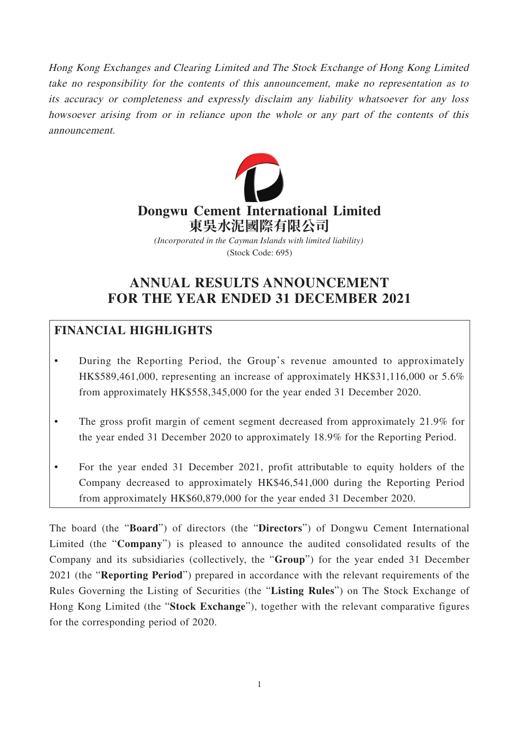Hong Kong Exchanges and Clearing Limited and The Stock Exchange of Hong Kong Limited take no responsibility for the contents of this announcement, make no representation as to its accuracy or completeness and expressly disclaim any liability whatsoever for any loss howsoever arising from or in reliance upon the whole or any part of the contents of this announcement.



(Stock Code: 695) *(Incorporated in the Cayman Islands with limited liability)*

# **ANNUAL RESULTS ANNOUNCEMENT FOR THE YEAR ENDED 31 DECEMBER 2021**

## **FINANCIAL HIGHLIGHTS**

- During the Reporting Period, the Group's revenue amounted to approximately HK\$589,461,000, representing an increase of approximately HK\$31,116,000 or 5.6% from approximately HK\$558,345,000 for the year ended 31 December 2020.
- The gross profit margin of cement segment decreased from approximately 21.9% for the year ended 31 December 2020 to approximately 18.9% for the Reporting Period.
- For the year ended 31 December 2021, profit attributable to equity holders of the Company decreased to approximately HK\$46,541,000 during the Reporting Period from approximately HK\$60,879,000 for the year ended 31 December 2020.

The board (the "**Board**") of directors (the "**Directors**") of Dongwu Cement International Limited (the "**Company**") is pleased to announce the audited consolidated results of the Company and its subsidiaries (collectively, the "**Group**") for the year ended 31 December 2021 (the "**Reporting Period**") prepared in accordance with the relevant requirements of the Rules Governing the Listing of Securities (the "**Listing Rules**") on The Stock Exchange of Hong Kong Limited (the "**Stock Exchange**"), together with the relevant comparative figures for the corresponding period of 2020.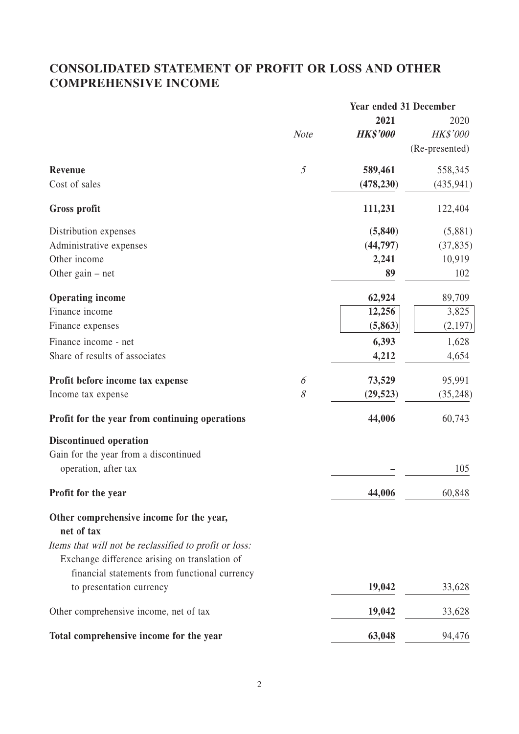# **CONSOLIDATED STATEMENT OF PROFIT OR LOSS AND OTHER COMPREHENSIVE INCOME**

|                                                                                                         |                | <b>Year ended 31 December</b> |                |
|---------------------------------------------------------------------------------------------------------|----------------|-------------------------------|----------------|
|                                                                                                         |                | 2021                          | 2020           |
|                                                                                                         | <b>Note</b>    | <b>HK\$'000</b>               | HK\$'000       |
|                                                                                                         |                |                               | (Re-presented) |
| Revenue                                                                                                 | $\mathfrak{H}$ | 589,461                       | 558,345        |
| Cost of sales                                                                                           |                | (478, 230)                    | (435, 941)     |
| <b>Gross profit</b>                                                                                     |                | 111,231                       | 122,404        |
| Distribution expenses                                                                                   |                | (5, 840)                      | (5,881)        |
| Administrative expenses                                                                                 |                | (44, 797)                     | (37, 835)      |
| Other income                                                                                            |                | 2,241                         | 10,919         |
| Other gain $-$ net                                                                                      |                | 89                            | 102            |
| <b>Operating income</b>                                                                                 |                | 62,924                        | 89,709         |
| Finance income                                                                                          |                | 12,256                        | 3,825          |
| Finance expenses                                                                                        |                | (5,863)                       | (2,197)        |
| Finance income - net                                                                                    |                | 6,393                         | 1,628          |
| Share of results of associates                                                                          |                | 4,212                         | 4,654          |
| Profit before income tax expense                                                                        | 6              | 73,529                        | 95,991         |
| Income tax expense                                                                                      | 8              | (29, 523)                     | (35, 248)      |
| Profit for the year from continuing operations                                                          |                | 44,006                        | 60,743         |
| <b>Discontinued operation</b>                                                                           |                |                               |                |
| Gain for the year from a discontinued                                                                   |                |                               |                |
| operation, after tax                                                                                    |                |                               | 105            |
| Profit for the year                                                                                     |                | 44,006                        | 60,848         |
| Other comprehensive income for the year,<br>net of tax                                                  |                |                               |                |
| Items that will not be reclassified to profit or loss:<br>Exchange difference arising on translation of |                |                               |                |
| financial statements from functional currency                                                           |                |                               |                |
| to presentation currency                                                                                |                | 19,042                        | 33,628         |
| Other comprehensive income, net of tax                                                                  |                | 19,042                        | 33,628         |
| Total comprehensive income for the year                                                                 |                | 63,048                        | 94,476         |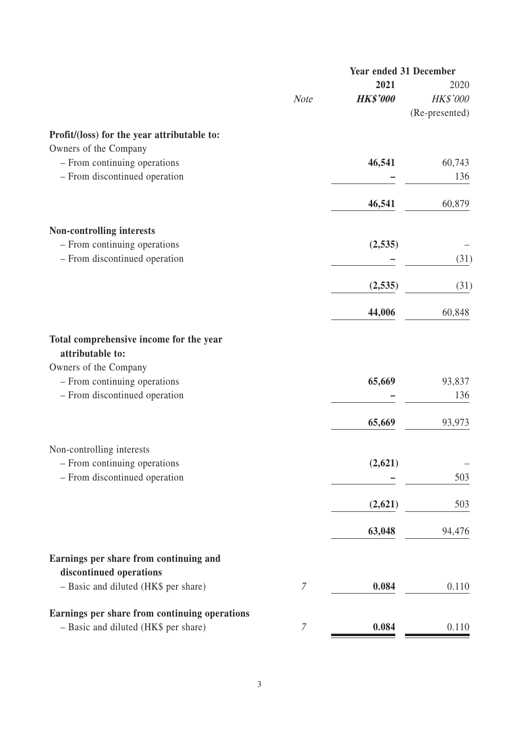|                                                                                       | <b>Year ended 31 December</b> |                         |                         |
|---------------------------------------------------------------------------------------|-------------------------------|-------------------------|-------------------------|
|                                                                                       | <b>Note</b>                   | 2021<br><b>HK\$'000</b> | 2020<br><b>HK\$'000</b> |
|                                                                                       |                               |                         | (Re-presented)          |
| Profit/(loss) for the year attributable to:                                           |                               |                         |                         |
| Owners of the Company                                                                 |                               |                         |                         |
| - From continuing operations<br>- From discontinued operation                         |                               | 46,541                  | 60,743<br>136           |
|                                                                                       |                               |                         |                         |
|                                                                                       |                               | 46,541                  | 60,879                  |
| <b>Non-controlling interests</b>                                                      |                               |                         |                         |
| - From continuing operations                                                          |                               | (2, 535)                |                         |
| - From discontinued operation                                                         |                               |                         | (31)                    |
|                                                                                       |                               | (2,535)                 | (31)                    |
|                                                                                       |                               | 44,006                  | 60,848                  |
| Total comprehensive income for the year<br>attributable to:                           |                               |                         |                         |
| Owners of the Company                                                                 |                               |                         |                         |
| - From continuing operations                                                          |                               | 65,669                  | 93,837                  |
| - From discontinued operation                                                         |                               |                         | 136                     |
|                                                                                       |                               | 65,669                  | 93,973                  |
| Non-controlling interests                                                             |                               |                         |                         |
| - From continuing operations                                                          |                               | (2,621)                 |                         |
| - From discontinued operation                                                         |                               |                         | 503                     |
|                                                                                       |                               | (2,621)                 | 503                     |
|                                                                                       |                               | 63,048                  | 94,476                  |
| Earnings per share from continuing and<br>discontinued operations                     |                               |                         |                         |
| - Basic and diluted (HK\$ per share)                                                  | $\mathcal I$                  | 0.084                   | 0.110                   |
|                                                                                       |                               |                         |                         |
| Earnings per share from continuing operations<br>- Basic and diluted (HK\$ per share) | $\mathcal I$                  | 0.084                   | 0.110                   |
|                                                                                       |                               |                         |                         |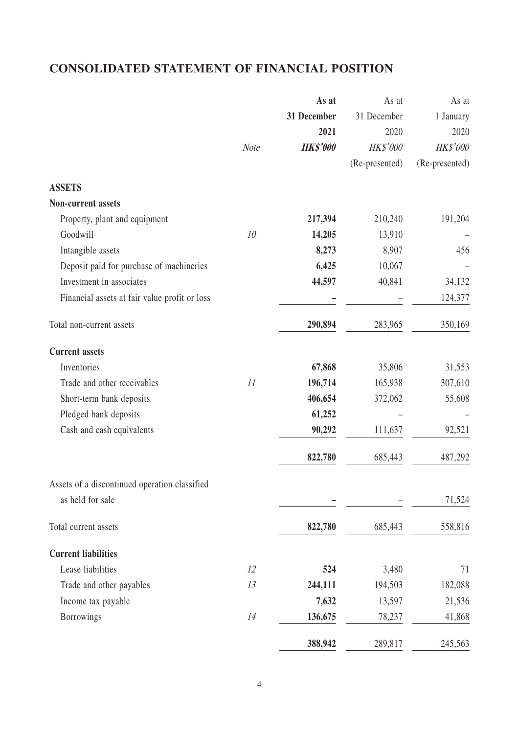# **CONSOLIDATED STATEMENT OF FINANCIAL POSITION**

|                                               |             | As at           | As at          | As at          |
|-----------------------------------------------|-------------|-----------------|----------------|----------------|
|                                               |             | 31 December     | 31 December    | 1 January      |
|                                               |             | 2021            | 2020           | 2020           |
|                                               | <b>Note</b> | <b>HK\$'000</b> | HK\$'000       | HK\$'000       |
|                                               |             |                 | (Re-presented) | (Re-presented) |
| <b>ASSETS</b>                                 |             |                 |                |                |
| Non-current assets                            |             |                 |                |                |
| Property, plant and equipment                 |             | 217,394         | 210,240        | 191,204        |
| Goodwill                                      | 10          | 14,205          | 13,910         |                |
| Intangible assets                             |             | 8,273           | 8,907          | 456            |
| Deposit paid for purchase of machineries      |             | 6,425           | 10,067         |                |
| Investment in associates                      |             | 44,597          | 40,841         | 34,132         |
| Financial assets at fair value profit or loss |             |                 |                | 124,377        |
| Total non-current assets                      |             | 290,894         | 283,965        | 350,169        |
| <b>Current assets</b>                         |             |                 |                |                |
| Inventories                                   |             | 67,868          | 35,806         | 31,553         |
| Trade and other receivables                   | 11          | 196,714         | 165,938        | 307,610        |
| Short-term bank deposits                      |             | 406,654         | 372,062        | 55,608         |
| Pledged bank deposits                         |             | 61,252          |                |                |
| Cash and cash equivalents                     |             | 90,292          | 111,637        | 92,521         |
|                                               |             | 822,780         | 685,443        | 487,292        |
| Assets of a discontinued operation classified |             |                 |                |                |
| as held for sale                              |             |                 |                | 71,524         |
| Total current assets                          |             | 822,780         | 685,443        | 558,816        |
| <b>Current liabilities</b>                    |             |                 |                |                |
| Lease liabilities                             | 12          | 524             | 3,480          | 71             |
| Trade and other payables                      | 13          | 244,111         | 194,503        | 182,088        |
| Income tax payable                            |             | 7,632           | 13,597         | 21,536         |
| Borrowings                                    | 14          | 136,675         | 78,237         | 41,868         |
|                                               |             | 388,942         | 289,817        | 245,563        |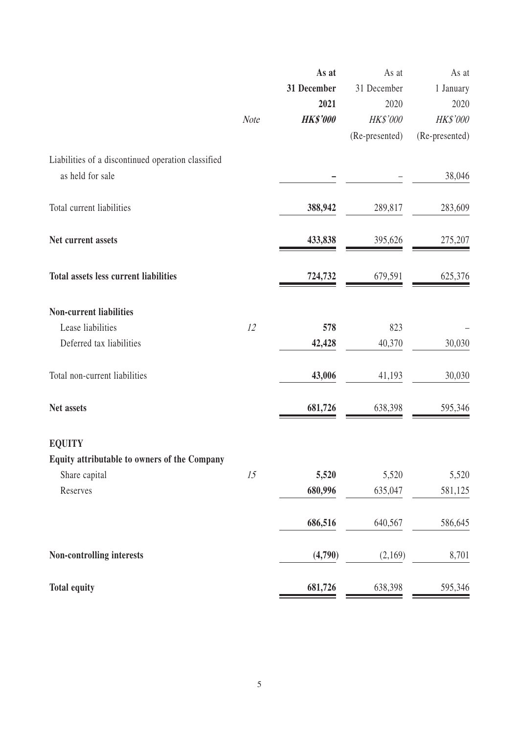|                                                                        |             | As at           | As at          | As at          |
|------------------------------------------------------------------------|-------------|-----------------|----------------|----------------|
|                                                                        |             | 31 December     | 31 December    | 1 January      |
|                                                                        |             | 2021            | 2020           | 2020           |
|                                                                        | <b>Note</b> | <b>HK\$'000</b> | HK\$'000       | HK\$'000       |
|                                                                        |             |                 | (Re-presented) | (Re-presented) |
| Liabilities of a discontinued operation classified<br>as held for sale |             |                 |                | 38,046         |
|                                                                        |             |                 |                |                |
| Total current liabilities                                              |             | 388,942         | 289,817        | 283,609        |
| Net current assets                                                     |             | 433,838         | 395,626        | 275,207        |
| Total assets less current liabilities                                  |             | 724,732         | 679,591        | 625,376        |
|                                                                        |             |                 |                |                |
| <b>Non-current liabilities</b>                                         |             |                 |                |                |
| Lease liabilities                                                      | 12          | 578             | 823            |                |
| Deferred tax liabilities                                               |             | 42,428          | 40,370         | 30,030         |
| Total non-current liabilities                                          |             | 43,006          | 41,193         | 30,030         |
| Net assets                                                             |             | 681,726         | 638,398        | 595,346        |
| <b>EQUITY</b>                                                          |             |                 |                |                |
| Equity attributable to owners of the Company                           |             |                 |                |                |
| Share capital                                                          | 15          | 5,520           | 5,520          | 5,520          |
| Reserves                                                               |             | 680,996         | 635,047        | 581,125        |
|                                                                        |             | 686,516         | 640,567        | 586,645        |
| Non-controlling interests                                              |             | (4,790)         | (2,169)        | 8,701          |
| <b>Total equity</b>                                                    |             | 681,726         | 638,398        | 595,346        |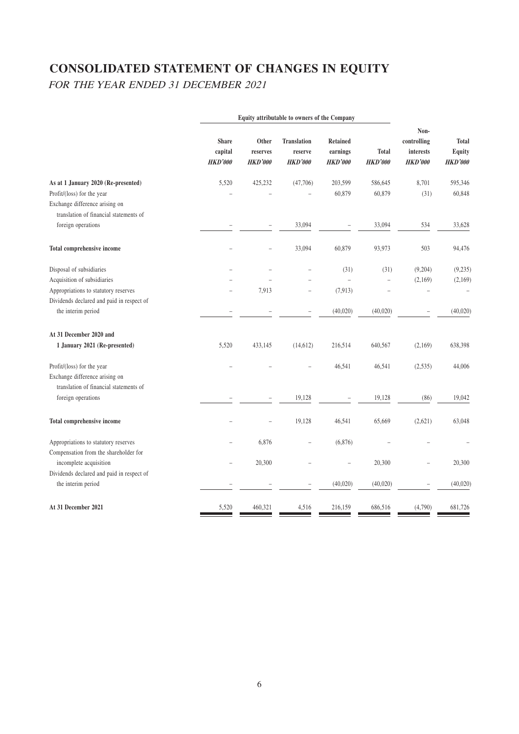# **CONSOLIDATED STATEMENT OF CHANGES IN EQUITY**

FOR THE YEAR ENDED 31 DECEMBER 2021

| Non-<br>controlling<br><b>Total</b><br>interests<br>Equity<br><b>HKD'000</b><br><b>HKD'000</b><br>8,701<br>595,346<br>(31)<br>60,848 |
|--------------------------------------------------------------------------------------------------------------------------------------|
|                                                                                                                                      |
|                                                                                                                                      |
|                                                                                                                                      |
|                                                                                                                                      |
|                                                                                                                                      |
| 33,628                                                                                                                               |
| 94,476                                                                                                                               |
| (9,204)<br>(9, 235)                                                                                                                  |
| (2,169)<br>(2,169)                                                                                                                   |
| $\overline{a}$                                                                                                                       |
|                                                                                                                                      |
| (40,020)<br>$\overline{a}$                                                                                                           |
|                                                                                                                                      |
| 638,398<br>(2,169)                                                                                                                   |
| (2,535)<br>44,006                                                                                                                    |
|                                                                                                                                      |
| 19,042<br>(86)                                                                                                                       |
| (2,621)<br>63,048                                                                                                                    |
|                                                                                                                                      |
|                                                                                                                                      |
| 20,300<br>$\overline{a}$                                                                                                             |
|                                                                                                                                      |
| (40,020)                                                                                                                             |
| 681,726                                                                                                                              |
| 534<br>503<br>(4,790)                                                                                                                |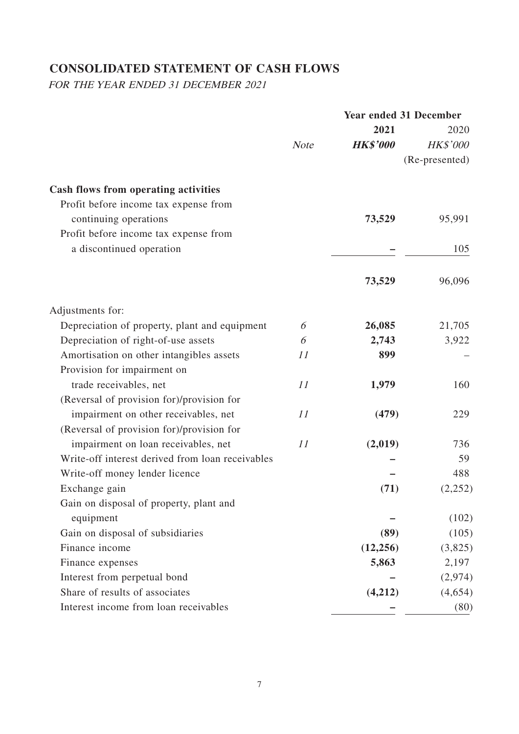# **CONSOLIDATED STATEMENT OF CASH FLOWS**

FOR THE YEAR ENDED 31 DECEMBER 2021

|                                                  |             | <b>Year ended 31 December</b> |                 |
|--------------------------------------------------|-------------|-------------------------------|-----------------|
|                                                  |             | 2021                          | 2020            |
|                                                  | <b>Note</b> | <b>HK\$'000</b>               | <b>HK\$'000</b> |
|                                                  |             |                               | (Re-presented)  |
| Cash flows from operating activities             |             |                               |                 |
| Profit before income tax expense from            |             |                               |                 |
| continuing operations                            |             | 73,529                        | 95,991          |
| Profit before income tax expense from            |             |                               |                 |
| a discontinued operation                         |             |                               | 105             |
|                                                  |             |                               |                 |
|                                                  |             | 73,529                        | 96,096          |
| Adjustments for:                                 |             |                               |                 |
| Depreciation of property, plant and equipment    | 6           | 26,085                        | 21,705          |
| Depreciation of right-of-use assets              | 6           | 2,743                         | 3,922           |
| Amortisation on other intangibles assets         | 11          | 899                           |                 |
| Provision for impairment on                      |             |                               |                 |
| trade receivables, net                           | 11          | 1,979                         | 160             |
| (Reversal of provision for)/provision for        |             |                               |                 |
| impairment on other receivables, net             | 11          | (479)                         | 229             |
| (Reversal of provision for)/provision for        |             |                               |                 |
| impairment on loan receivables, net              | 11          | (2,019)                       | 736             |
| Write-off interest derived from loan receivables |             |                               | 59              |
| Write-off money lender licence                   |             |                               | 488             |
| Exchange gain                                    |             | (71)                          | (2,252)         |
| Gain on disposal of property, plant and          |             |                               |                 |
| equipment                                        |             |                               | (102)           |
| Gain on disposal of subsidiaries                 |             | (89)                          | (105)           |
| Finance income                                   |             | (12, 256)                     | (3,825)         |
| Finance expenses                                 |             | 5,863                         | 2,197           |
| Interest from perpetual bond                     |             |                               | (2,974)         |
| Share of results of associates                   |             | (4,212)                       | (4,654)         |
| Interest income from loan receivables            |             |                               | (80)            |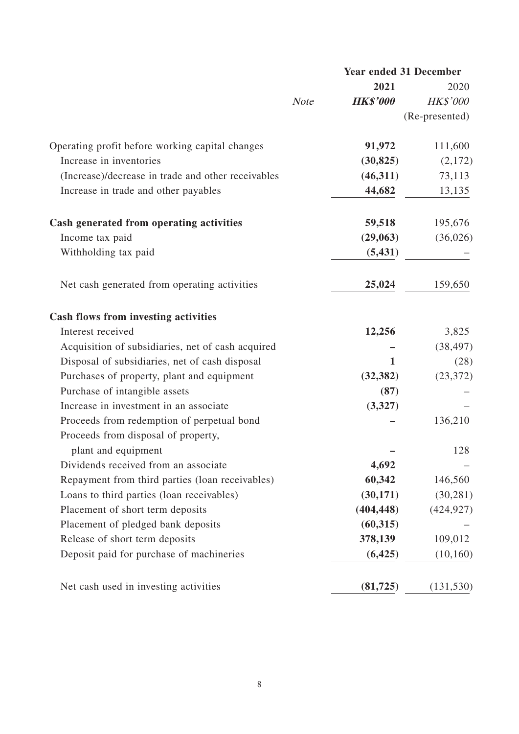|                                                    | <b>Year ended 31 December</b> |                 |                 |  |
|----------------------------------------------------|-------------------------------|-----------------|-----------------|--|
|                                                    |                               | 2021            | 2020            |  |
|                                                    | <b>Note</b>                   | <b>HK\$'000</b> | <b>HK\$'000</b> |  |
|                                                    |                               |                 | (Re-presented)  |  |
| Operating profit before working capital changes    |                               | 91,972          | 111,600         |  |
| Increase in inventories                            |                               | (30, 825)       | (2,172)         |  |
| (Increase)/decrease in trade and other receivables |                               | (46,311)        | 73,113          |  |
| Increase in trade and other payables               |                               | 44,682          | 13,135          |  |
| Cash generated from operating activities           |                               | 59,518          | 195,676         |  |
| Income tax paid                                    |                               | (29,063)        | (36,026)        |  |
| Withholding tax paid                               |                               | (5, 431)        |                 |  |
| Net cash generated from operating activities       |                               | 25,024          | 159,650         |  |
| Cash flows from investing activities               |                               |                 |                 |  |
| Interest received                                  |                               | 12,256          | 3,825           |  |
| Acquisition of subsidiaries, net of cash acquired  |                               |                 | (38, 497)       |  |
| Disposal of subsidiaries, net of cash disposal     |                               | 1               | (28)            |  |
| Purchases of property, plant and equipment         |                               | (32, 382)       | (23, 372)       |  |
| Purchase of intangible assets                      |                               | (87)            |                 |  |
| Increase in investment in an associate             |                               | (3,327)         |                 |  |
| Proceeds from redemption of perpetual bond         |                               |                 | 136,210         |  |
| Proceeds from disposal of property,                |                               |                 |                 |  |
| plant and equipment                                |                               |                 | 128             |  |
| Dividends received from an associate               |                               | 4,692           |                 |  |
| Repayment from third parties (loan receivables)    |                               | 60,342          | 146,560         |  |
| Loans to third parties (loan receivables)          |                               | (30, 171)       | (30, 281)       |  |
| Placement of short term deposits                   |                               | (404, 448)      | (424, 927)      |  |
| Placement of pledged bank deposits                 |                               | (60, 315)       |                 |  |
| Release of short term deposits                     |                               | 378,139         | 109,012         |  |
| Deposit paid for purchase of machineries           |                               | (6,425)         | (10, 160)       |  |
| Net cash used in investing activities              |                               | (81, 725)       | (131, 530)      |  |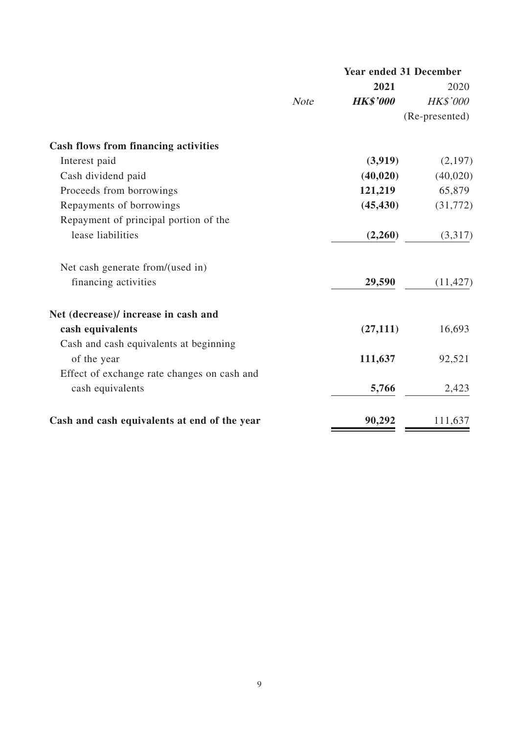|                                              | <b>Year ended 31 December</b> |                 |                 |
|----------------------------------------------|-------------------------------|-----------------|-----------------|
|                                              |                               | 2021            | 2020            |
|                                              | <b>Note</b>                   | <b>HK\$'000</b> | <b>HK\$'000</b> |
|                                              |                               |                 | (Re-presented)  |
| <b>Cash flows from financing activities</b>  |                               |                 |                 |
| Interest paid                                |                               | (3,919)         | (2,197)         |
| Cash dividend paid                           |                               | (40, 020)       | (40,020)        |
| Proceeds from borrowings                     |                               | 121,219         | 65,879          |
| Repayments of borrowings                     |                               | (45, 430)       | (31,772)        |
| Repayment of principal portion of the        |                               |                 |                 |
| lease liabilities                            |                               | (2,260)         | (3,317)         |
| Net cash generate from/(used in)             |                               |                 |                 |
| financing activities                         |                               | 29,590          | (11, 427)       |
| Net (decrease)/ increase in cash and         |                               |                 |                 |
| cash equivalents                             |                               | (27, 111)       | 16,693          |
| Cash and cash equivalents at beginning       |                               |                 |                 |
| of the year                                  |                               | 111,637         | 92,521          |
| Effect of exchange rate changes on cash and  |                               |                 |                 |
| cash equivalents                             |                               | 5,766           | 2,423           |
| Cash and cash equivalents at end of the year |                               | 90,292          | 111,637         |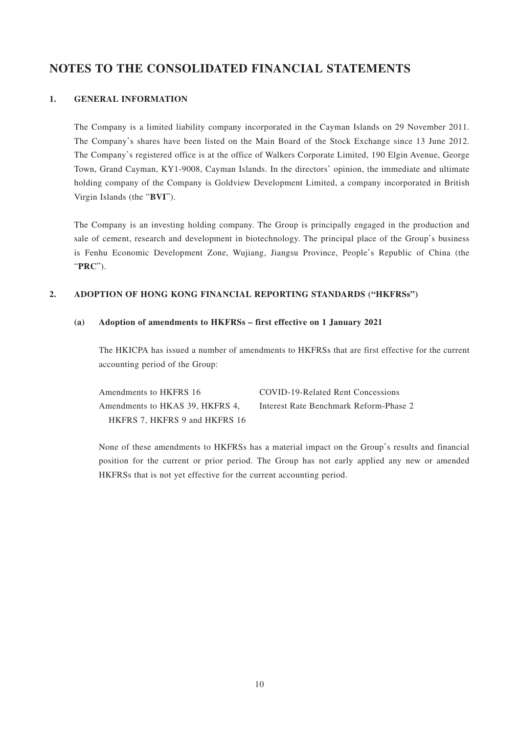## **NOTES TO THE CONSOLIDATED FINANCIAL STATEMENTS**

#### **1. GENERAL INFORMATION**

The Company is a limited liability company incorporated in the Cayman Islands on 29 November 2011. The Company's shares have been listed on the Main Board of the Stock Exchange since 13 June 2012. The Company's registered office is at the office of Walkers Corporate Limited, 190 Elgin Avenue, George Town, Grand Cayman, KY1-9008, Cayman Islands. In the directors' opinion, the immediate and ultimate holding company of the Company is Goldview Development Limited, a company incorporated in British Virgin Islands (the "**BVI**").

The Company is an investing holding company. The Group is principally engaged in the production and sale of cement, research and development in biotechnology. The principal place of the Group's business is Fenhu Economic Development Zone, Wujiang, Jiangsu Province, People's Republic of China (the "**PRC**").

#### **2. ADOPTION OF HONG KONG FINANCIAL REPORTING STANDARDS ("HKFRSs")**

#### **(a) Adoption of amendments to HKFRSs – first effective on 1 January 2021**

The HKICPA has issued a number of amendments to HKFRSs that are first effective for the current accounting period of the Group:

| Amendments to HKFRS 16          | COVID-19-Related Rent Concessions      |
|---------------------------------|----------------------------------------|
| Amendments to HKAS 39. HKFRS 4. | Interest Rate Benchmark Reform-Phase 2 |
| HKFRS 7, HKFRS 9 and HKFRS 16   |                                        |

None of these amendments to HKFRSs has a material impact on the Group's results and financial position for the current or prior period. The Group has not early applied any new or amended HKFRSs that is not yet effective for the current accounting period.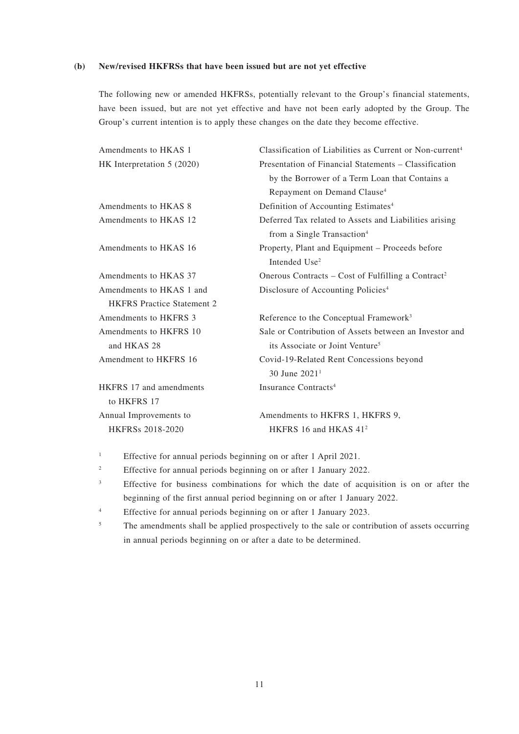#### **(b) New/revised HKFRSs that have been issued but are not yet effective**

The following new or amended HKFRSs, potentially relevant to the Group's financial statements, have been issued, but are not yet effective and have not been early adopted by the Group. The Group's current intention is to apply these changes on the date they become effective.

| Amendments to HKAS 1              | Classification of Liabilities as Current or Non-current <sup>4</sup> |
|-----------------------------------|----------------------------------------------------------------------|
| HK Interpretation 5 (2020)        | Presentation of Financial Statements - Classification                |
|                                   | by the Borrower of a Term Loan that Contains a                       |
|                                   | Repayment on Demand Clause <sup>4</sup>                              |
| Amendments to HKAS 8              | Definition of Accounting Estimates <sup>4</sup>                      |
| Amendments to HKAS 12             | Deferred Tax related to Assets and Liabilities arising               |
|                                   | from a Single Transaction <sup>4</sup>                               |
| Amendments to HKAS 16             | Property, Plant and Equipment - Proceeds before                      |
|                                   | Intended Use <sup>2</sup>                                            |
| Amendments to HKAS 37             | Onerous Contracts – Cost of Fulfilling a Contract <sup>2</sup>       |
| Amendments to HKAS 1 and          | Disclosure of Accounting Policies <sup>4</sup>                       |
| <b>HKFRS</b> Practice Statement 2 |                                                                      |
| Amendments to HKFRS 3             | Reference to the Conceptual Framework <sup>3</sup>                   |
| Amendments to HKFRS 10            | Sale or Contribution of Assets between an Investor and               |
| and HKAS 28                       | its Associate or Joint Venture <sup>5</sup>                          |
| Amendment to HKFRS 16             | Covid-19-Related Rent Concessions beyond                             |
|                                   | 30 June $20211$                                                      |
| <b>HKFRS</b> 17 and amendments    | Insurance Contracts <sup>4</sup>                                     |
| to HKFRS 17                       |                                                                      |
| Annual Improvements to            | Amendments to HKFRS 1, HKFRS 9,                                      |
| <b>HKFRSs 2018-2020</b>           | HKFRS 16 and HKAS 41 <sup>2</sup>                                    |
|                                   |                                                                      |

1 Effective for annual periods beginning on or after 1 April 2021.

2 Effective for annual periods beginning on or after 1 January 2022.

- 3 Effective for business combinations for which the date of acquisition is on or after the beginning of the first annual period beginning on or after 1 January 2022.
- 4 Effective for annual periods beginning on or after 1 January 2023.
- 5 The amendments shall be applied prospectively to the sale or contribution of assets occurring in annual periods beginning on or after a date to be determined.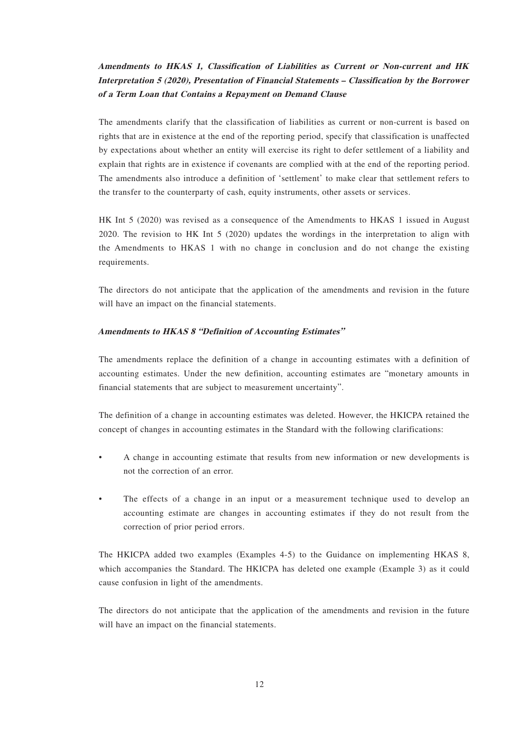## **Amendments to HKAS 1, Classification of Liabilities as Current or Non-current and HK Interpretation 5 (2020), Presentation of Financial Statements – Classification by the Borrower of a Term Loan that Contains a Repayment on Demand Clause**

The amendments clarify that the classification of liabilities as current or non-current is based on rights that are in existence at the end of the reporting period, specify that classification is unaffected by expectations about whether an entity will exercise its right to defer settlement of a liability and explain that rights are in existence if covenants are complied with at the end of the reporting period. The amendments also introduce a definition of 'settlement' to make clear that settlement refers to the transfer to the counterparty of cash, equity instruments, other assets or services.

HK Int 5 (2020) was revised as a consequence of the Amendments to HKAS 1 issued in August 2020. The revision to HK Int 5 (2020) updates the wordings in the interpretation to align with the Amendments to HKAS 1 with no change in conclusion and do not change the existing requirements.

The directors do not anticipate that the application of the amendments and revision in the future will have an impact on the financial statements.

#### **Amendments to HKAS 8 "Definition of Accounting Estimates"**

The amendments replace the definition of a change in accounting estimates with a definition of accounting estimates. Under the new definition, accounting estimates are "monetary amounts in financial statements that are subject to measurement uncertainty".

The definition of a change in accounting estimates was deleted. However, the HKICPA retained the concept of changes in accounting estimates in the Standard with the following clarifications:

- A change in accounting estimate that results from new information or new developments is not the correction of an error.
- The effects of a change in an input or a measurement technique used to develop an accounting estimate are changes in accounting estimates if they do not result from the correction of prior period errors.

The HKICPA added two examples (Examples 4-5) to the Guidance on implementing HKAS 8, which accompanies the Standard. The HKICPA has deleted one example (Example 3) as it could cause confusion in light of the amendments.

The directors do not anticipate that the application of the amendments and revision in the future will have an impact on the financial statements.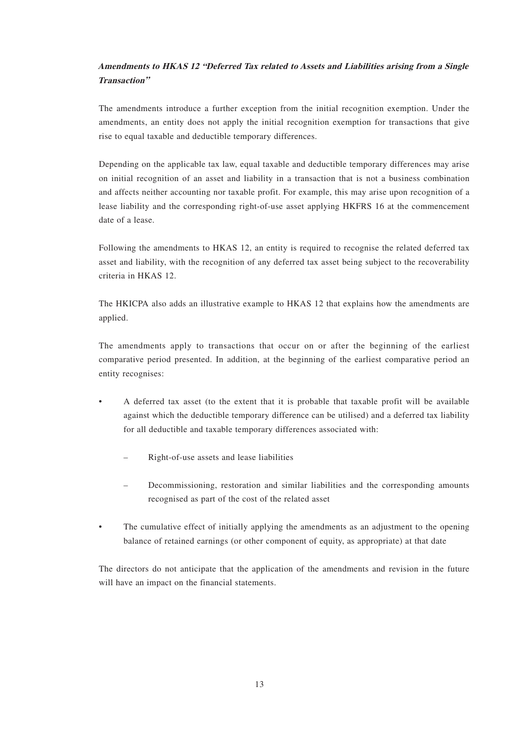## **Amendments to HKAS 12 "Deferred Tax related to Assets and Liabilities arising from a Single Transaction"**

The amendments introduce a further exception from the initial recognition exemption. Under the amendments, an entity does not apply the initial recognition exemption for transactions that give rise to equal taxable and deductible temporary differences.

Depending on the applicable tax law, equal taxable and deductible temporary differences may arise on initial recognition of an asset and liability in a transaction that is not a business combination and affects neither accounting nor taxable profit. For example, this may arise upon recognition of a lease liability and the corresponding right-of-use asset applying HKFRS 16 at the commencement date of a lease.

Following the amendments to HKAS 12, an entity is required to recognise the related deferred tax asset and liability, with the recognition of any deferred tax asset being subject to the recoverability criteria in HKAS 12.

The HKICPA also adds an illustrative example to HKAS 12 that explains how the amendments are applied.

The amendments apply to transactions that occur on or after the beginning of the earliest comparative period presented. In addition, at the beginning of the earliest comparative period an entity recognises:

- A deferred tax asset (to the extent that it is probable that taxable profit will be available against which the deductible temporary difference can be utilised) and a deferred tax liability for all deductible and taxable temporary differences associated with:
	- Right-of-use assets and lease liabilities
	- Decommissioning, restoration and similar liabilities and the corresponding amounts recognised as part of the cost of the related asset
- The cumulative effect of initially applying the amendments as an adjustment to the opening balance of retained earnings (or other component of equity, as appropriate) at that date

The directors do not anticipate that the application of the amendments and revision in the future will have an impact on the financial statements.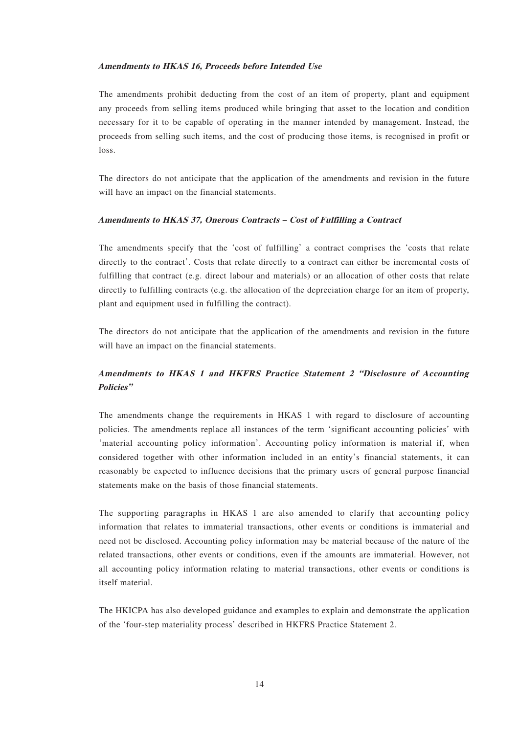#### **Amendments to HKAS 16, Proceeds before Intended Use**

The amendments prohibit deducting from the cost of an item of property, plant and equipment any proceeds from selling items produced while bringing that asset to the location and condition necessary for it to be capable of operating in the manner intended by management. Instead, the proceeds from selling such items, and the cost of producing those items, is recognised in profit or loss.

The directors do not anticipate that the application of the amendments and revision in the future will have an impact on the financial statements.

#### **Amendments to HKAS 37, Onerous Contracts – Cost of Fulfilling a Contract**

The amendments specify that the 'cost of fulfilling' a contract comprises the 'costs that relate directly to the contract'. Costs that relate directly to a contract can either be incremental costs of fulfilling that contract (e.g. direct labour and materials) or an allocation of other costs that relate directly to fulfilling contracts (e.g. the allocation of the depreciation charge for an item of property, plant and equipment used in fulfilling the contract).

The directors do not anticipate that the application of the amendments and revision in the future will have an impact on the financial statements.

### **Amendments to HKAS 1 and HKFRS Practice Statement 2 "Disclosure of Accounting Policies"**

The amendments change the requirements in HKAS 1 with regard to disclosure of accounting policies. The amendments replace all instances of the term 'significant accounting policies' with 'material accounting policy information'. Accounting policy information is material if, when considered together with other information included in an entity's financial statements, it can reasonably be expected to influence decisions that the primary users of general purpose financial statements make on the basis of those financial statements.

The supporting paragraphs in HKAS 1 are also amended to clarify that accounting policy information that relates to immaterial transactions, other events or conditions is immaterial and need not be disclosed. Accounting policy information may be material because of the nature of the related transactions, other events or conditions, even if the amounts are immaterial. However, not all accounting policy information relating to material transactions, other events or conditions is itself material.

The HKICPA has also developed guidance and examples to explain and demonstrate the application of the 'four-step materiality process' described in HKFRS Practice Statement 2.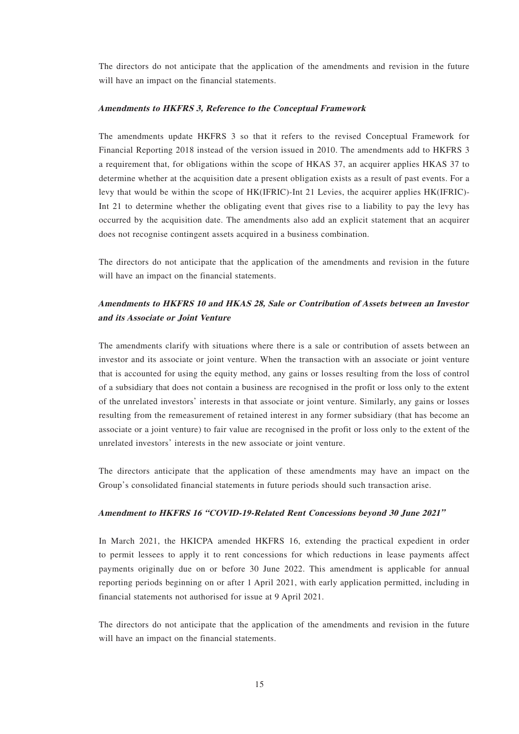The directors do not anticipate that the application of the amendments and revision in the future will have an impact on the financial statements.

#### **Amendments to HKFRS 3, Reference to the Conceptual Framework**

The amendments update HKFRS 3 so that it refers to the revised Conceptual Framework for Financial Reporting 2018 instead of the version issued in 2010. The amendments add to HKFRS 3 a requirement that, for obligations within the scope of HKAS 37, an acquirer applies HKAS 37 to determine whether at the acquisition date a present obligation exists as a result of past events. For a levy that would be within the scope of HK(IFRIC)-Int 21 Levies, the acquirer applies HK(IFRIC)- Int 21 to determine whether the obligating event that gives rise to a liability to pay the levy has occurred by the acquisition date. The amendments also add an explicit statement that an acquirer does not recognise contingent assets acquired in a business combination.

The directors do not anticipate that the application of the amendments and revision in the future will have an impact on the financial statements.

### **Amendments to HKFRS 10 and HKAS 28, Sale or Contribution of Assets between an Investor and its Associate or Joint Venture**

The amendments clarify with situations where there is a sale or contribution of assets between an investor and its associate or joint venture. When the transaction with an associate or joint venture that is accounted for using the equity method, any gains or losses resulting from the loss of control of a subsidiary that does not contain a business are recognised in the profit or loss only to the extent of the unrelated investors' interests in that associate or joint venture. Similarly, any gains or losses resulting from the remeasurement of retained interest in any former subsidiary (that has become an associate or a joint venture) to fair value are recognised in the profit or loss only to the extent of the unrelated investors' interests in the new associate or joint venture.

The directors anticipate that the application of these amendments may have an impact on the Group's consolidated financial statements in future periods should such transaction arise.

#### **Amendment to HKFRS 16 "COVID-19-Related Rent Concessions beyond 30 June 2021"**

In March 2021, the HKICPA amended HKFRS 16, extending the practical expedient in order to permit lessees to apply it to rent concessions for which reductions in lease payments affect payments originally due on or before 30 June 2022. This amendment is applicable for annual reporting periods beginning on or after 1 April 2021, with early application permitted, including in financial statements not authorised for issue at 9 April 2021.

The directors do not anticipate that the application of the amendments and revision in the future will have an impact on the financial statements.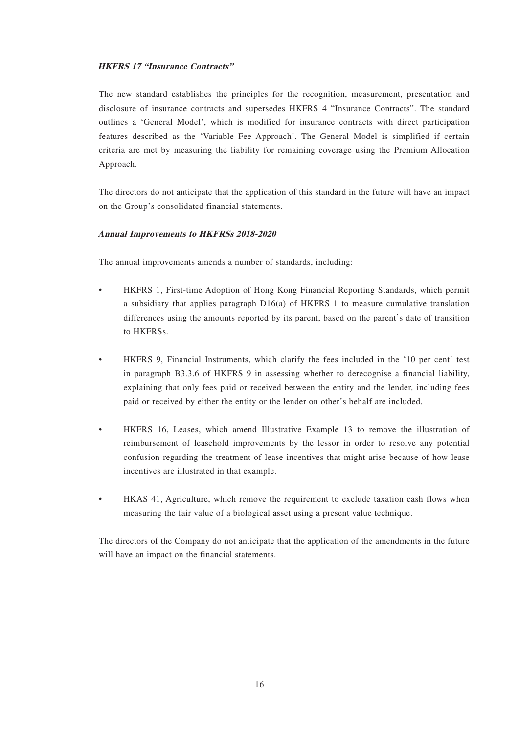#### **HKFRS 17 "Insurance Contracts"**

The new standard establishes the principles for the recognition, measurement, presentation and disclosure of insurance contracts and supersedes HKFRS 4 "Insurance Contracts". The standard outlines a 'General Model', which is modified for insurance contracts with direct participation features described as the 'Variable Fee Approach'. The General Model is simplified if certain criteria are met by measuring the liability for remaining coverage using the Premium Allocation Approach.

The directors do not anticipate that the application of this standard in the future will have an impact on the Group's consolidated financial statements.

#### **Annual Improvements to HKFRSs 2018-2020**

The annual improvements amends a number of standards, including:

- HKFRS 1, First-time Adoption of Hong Kong Financial Reporting Standards, which permit a subsidiary that applies paragraph  $D16(a)$  of HKFRS 1 to measure cumulative translation differences using the amounts reported by its parent, based on the parent's date of transition to HKFRSs.
- HKFRS 9, Financial Instruments, which clarify the fees included in the '10 per cent' test in paragraph B3.3.6 of HKFRS 9 in assessing whether to derecognise a financial liability, explaining that only fees paid or received between the entity and the lender, including fees paid or received by either the entity or the lender on other's behalf are included.
- HKFRS 16, Leases, which amend Illustrative Example 13 to remove the illustration of reimbursement of leasehold improvements by the lessor in order to resolve any potential confusion regarding the treatment of lease incentives that might arise because of how lease incentives are illustrated in that example.
- HKAS 41, Agriculture, which remove the requirement to exclude taxation cash flows when measuring the fair value of a biological asset using a present value technique.

The directors of the Company do not anticipate that the application of the amendments in the future will have an impact on the financial statements.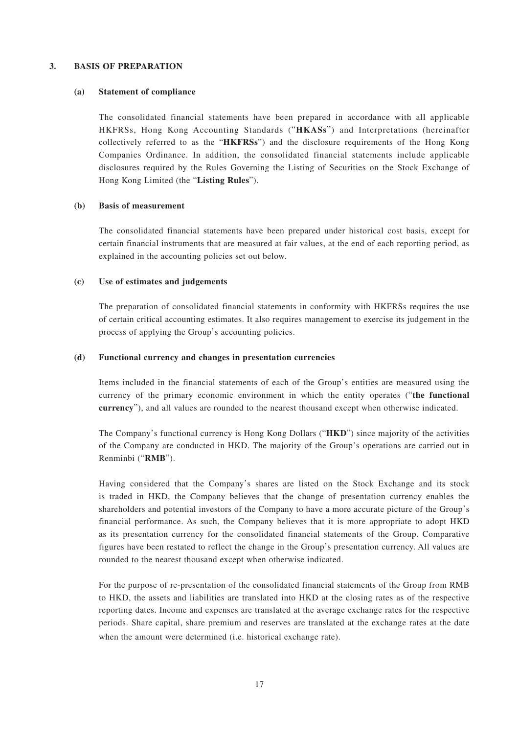#### **3. BASIS OF PREPARATION**

#### **(a) Statement of compliance**

The consolidated financial statements have been prepared in accordance with all applicable HKFRSs, Hong Kong Accounting Standards ("**HKASs**") and Interpretations (hereinafter collectively referred to as the "**HKFRSs**") and the disclosure requirements of the Hong Kong Companies Ordinance. In addition, the consolidated financial statements include applicable disclosures required by the Rules Governing the Listing of Securities on the Stock Exchange of Hong Kong Limited (the "**Listing Rules**").

#### **(b) Basis of measurement**

The consolidated financial statements have been prepared under historical cost basis, except for certain financial instruments that are measured at fair values, at the end of each reporting period, as explained in the accounting policies set out below.

#### **(c) Use of estimates and judgements**

The preparation of consolidated financial statements in conformity with HKFRSs requires the use of certain critical accounting estimates. It also requires management to exercise its judgement in the process of applying the Group's accounting policies.

#### **(d) Functional currency and changes in presentation currencies**

Items included in the financial statements of each of the Group's entities are measured using the currency of the primary economic environment in which the entity operates ("**the functional currency**"), and all values are rounded to the nearest thousand except when otherwise indicated.

The Company's functional currency is Hong Kong Dollars ("**HKD**") since majority of the activities of the Company are conducted in HKD. The majority of the Group's operations are carried out in Renminbi ("**RMB**").

Having considered that the Company's shares are listed on the Stock Exchange and its stock is traded in HKD, the Company believes that the change of presentation currency enables the shareholders and potential investors of the Company to have a more accurate picture of the Group's financial performance. As such, the Company believes that it is more appropriate to adopt HKD as its presentation currency for the consolidated financial statements of the Group. Comparative figures have been restated to reflect the change in the Group's presentation currency. All values are rounded to the nearest thousand except when otherwise indicated.

For the purpose of re-presentation of the consolidated financial statements of the Group from RMB to HKD, the assets and liabilities are translated into HKD at the closing rates as of the respective reporting dates. Income and expenses are translated at the average exchange rates for the respective periods. Share capital, share premium and reserves are translated at the exchange rates at the date when the amount were determined (i.e. historical exchange rate).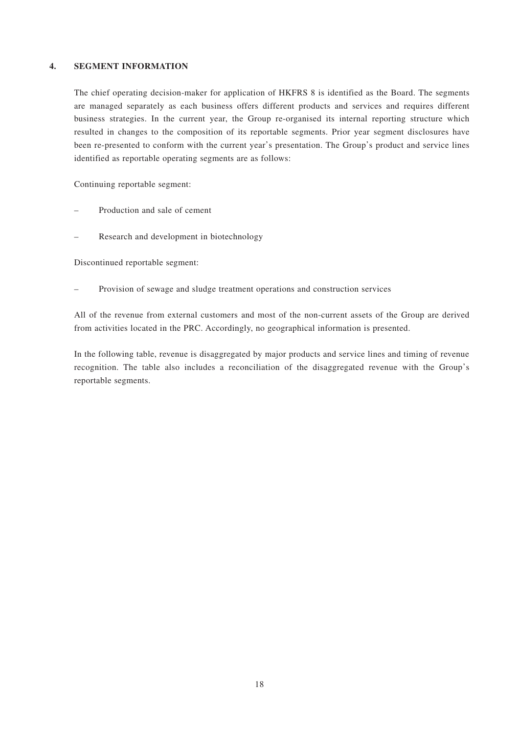#### **4. SEGMENT INFORMATION**

The chief operating decision-maker for application of HKFRS 8 is identified as the Board. The segments are managed separately as each business offers different products and services and requires different business strategies. In the current year, the Group re-organised its internal reporting structure which resulted in changes to the composition of its reportable segments. Prior year segment disclosures have been re-presented to conform with the current year's presentation. The Group's product and service lines identified as reportable operating segments are as follows:

Continuing reportable segment:

- Production and sale of cement
- Research and development in biotechnology

Discontinued reportable segment:

– Provision of sewage and sludge treatment operations and construction services

All of the revenue from external customers and most of the non-current assets of the Group are derived from activities located in the PRC. Accordingly, no geographical information is presented.

In the following table, revenue is disaggregated by major products and service lines and timing of revenue recognition. The table also includes a reconciliation of the disaggregated revenue with the Group's reportable segments.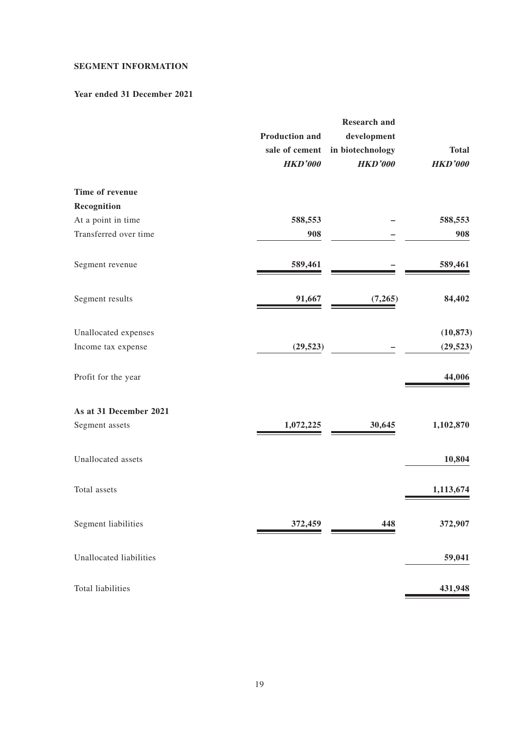### **SEGMENT INFORMATION**

#### **Year ended 31 December 2021**

| 588,553<br>588,553<br>908<br>908<br>Segment revenue<br>589,461<br>589,461<br>Segment results<br>91,667<br>84,402<br>(7,265)<br>(10, 873)<br>Unallocated expenses<br>(29, 523)<br>(29, 523)<br>44,006<br>1,102,870<br>Segment assets<br>30,645<br>1,072,225<br>Unallocated assets<br>10,804<br>Total assets<br>1,113,674<br>Segment liabilities<br>372,907<br>372,459<br>448<br>Unallocated liabilities<br>59,041<br>Total liabilities<br>431,948 |                        | <b>Production and</b><br>sale of cement<br><b>HKD'000</b> | <b>Research and</b><br>development<br>in biotechnology<br><b>HKD'000</b> | <b>Total</b><br><b>HKD'000</b> |
|--------------------------------------------------------------------------------------------------------------------------------------------------------------------------------------------------------------------------------------------------------------------------------------------------------------------------------------------------------------------------------------------------------------------------------------------------|------------------------|-----------------------------------------------------------|--------------------------------------------------------------------------|--------------------------------|
|                                                                                                                                                                                                                                                                                                                                                                                                                                                  | Time of revenue        |                                                           |                                                                          |                                |
|                                                                                                                                                                                                                                                                                                                                                                                                                                                  | Recognition            |                                                           |                                                                          |                                |
|                                                                                                                                                                                                                                                                                                                                                                                                                                                  | At a point in time     |                                                           |                                                                          |                                |
|                                                                                                                                                                                                                                                                                                                                                                                                                                                  | Transferred over time  |                                                           |                                                                          |                                |
|                                                                                                                                                                                                                                                                                                                                                                                                                                                  |                        |                                                           |                                                                          |                                |
|                                                                                                                                                                                                                                                                                                                                                                                                                                                  |                        |                                                           |                                                                          |                                |
|                                                                                                                                                                                                                                                                                                                                                                                                                                                  |                        |                                                           |                                                                          |                                |
|                                                                                                                                                                                                                                                                                                                                                                                                                                                  | Income tax expense     |                                                           |                                                                          |                                |
|                                                                                                                                                                                                                                                                                                                                                                                                                                                  | Profit for the year    |                                                           |                                                                          |                                |
|                                                                                                                                                                                                                                                                                                                                                                                                                                                  | As at 31 December 2021 |                                                           |                                                                          |                                |
|                                                                                                                                                                                                                                                                                                                                                                                                                                                  |                        |                                                           |                                                                          |                                |
|                                                                                                                                                                                                                                                                                                                                                                                                                                                  |                        |                                                           |                                                                          |                                |
|                                                                                                                                                                                                                                                                                                                                                                                                                                                  |                        |                                                           |                                                                          |                                |
|                                                                                                                                                                                                                                                                                                                                                                                                                                                  |                        |                                                           |                                                                          |                                |
|                                                                                                                                                                                                                                                                                                                                                                                                                                                  |                        |                                                           |                                                                          |                                |
|                                                                                                                                                                                                                                                                                                                                                                                                                                                  |                        |                                                           |                                                                          |                                |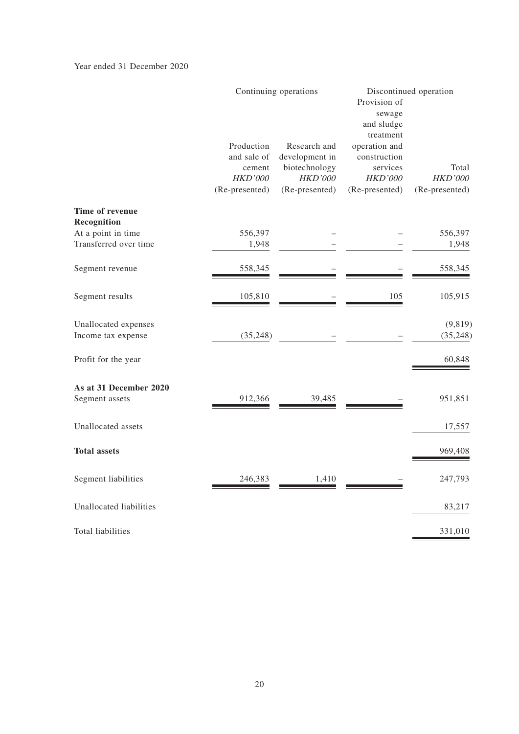Year ended 31 December 2020

|                                             |                                                                         | Continuing operations                                                               |                                                                                            | Discontinued operation                    |
|---------------------------------------------|-------------------------------------------------------------------------|-------------------------------------------------------------------------------------|--------------------------------------------------------------------------------------------|-------------------------------------------|
|                                             | Production<br>and sale of<br>cement<br><b>HKD'000</b><br>(Re-presented) | Research and<br>development in<br>biotechnology<br><b>HKD'000</b><br>(Re-presented) | treatment<br>operation and<br>construction<br>services<br><b>HKD'000</b><br>(Re-presented) | Total<br><b>HKD'000</b><br>(Re-presented) |
| Time of revenue                             |                                                                         |                                                                                     |                                                                                            |                                           |
| Recognition                                 |                                                                         |                                                                                     |                                                                                            |                                           |
| At a point in time<br>Transferred over time | 556,397<br>1,948                                                        |                                                                                     |                                                                                            | 556,397<br>1,948                          |
|                                             |                                                                         |                                                                                     |                                                                                            |                                           |
| Segment revenue                             | 558,345                                                                 |                                                                                     |                                                                                            | 558,345                                   |
| Segment results                             | 105,810                                                                 |                                                                                     | 105                                                                                        | 105,915                                   |
| Unallocated expenses<br>Income tax expense  | (35, 248)                                                               |                                                                                     |                                                                                            | (9, 819)<br>(35, 248)                     |
|                                             |                                                                         |                                                                                     |                                                                                            |                                           |
| Profit for the year                         |                                                                         |                                                                                     |                                                                                            | 60,848                                    |
| As at 31 December 2020                      |                                                                         |                                                                                     |                                                                                            |                                           |
| Segment assets                              | 912,366                                                                 | 39,485                                                                              |                                                                                            | 951,851                                   |
| Unallocated assets                          |                                                                         |                                                                                     |                                                                                            | 17,557                                    |
| <b>Total assets</b>                         |                                                                         |                                                                                     |                                                                                            | 969,408                                   |
| Segment liabilities                         | 246,383                                                                 | 1,410                                                                               |                                                                                            | 247,793                                   |
| Unallocated liabilities                     |                                                                         |                                                                                     |                                                                                            | 83,217                                    |
| Total liabilities                           |                                                                         |                                                                                     |                                                                                            | 331,010                                   |
|                                             |                                                                         |                                                                                     |                                                                                            |                                           |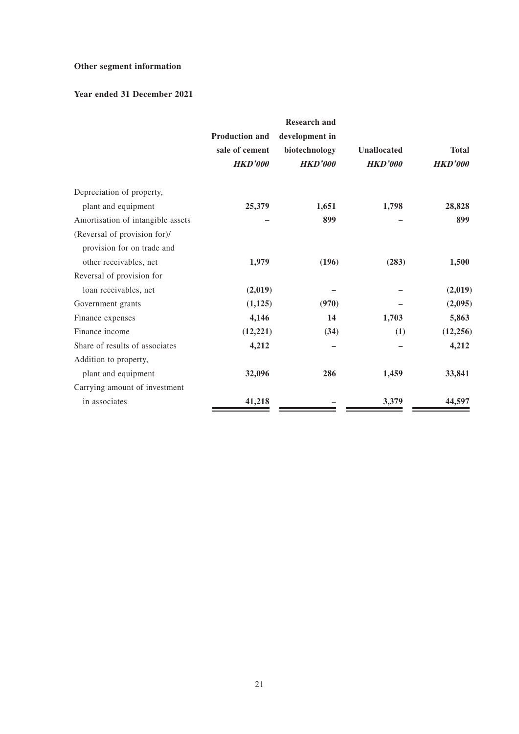## **Other segment information**

### **Year ended 31 December 2021**

|                                                            | <b>Production and</b>            | <b>Research and</b><br>development in |                                      |                                |
|------------------------------------------------------------|----------------------------------|---------------------------------------|--------------------------------------|--------------------------------|
|                                                            | sale of cement<br><b>HKD'000</b> | biotechnology<br><b>HKD'000</b>       | <b>Unallocated</b><br><b>HKD'000</b> | <b>Total</b><br><b>HKD'000</b> |
| Depreciation of property,                                  |                                  |                                       |                                      |                                |
| plant and equipment                                        | 25,379                           | 1,651                                 | 1,798                                | 28,828                         |
| Amortisation of intangible assets                          |                                  | 899                                   |                                      | 899                            |
| (Reversal of provision for)/<br>provision for on trade and |                                  |                                       |                                      |                                |
| other receivables, net                                     | 1,979                            | (196)                                 | (283)                                | 1,500                          |
| Reversal of provision for                                  |                                  |                                       |                                      |                                |
| loan receivables, net                                      | (2,019)                          |                                       |                                      | (2,019)                        |
| Government grants                                          | (1,125)                          | (970)                                 |                                      | (2,095)                        |
| Finance expenses                                           | 4,146                            | 14                                    | 1,703                                | 5,863                          |
| Finance income                                             | (12, 221)                        | (34)                                  | (1)                                  | (12, 256)                      |
| Share of results of associates                             | 4,212                            |                                       |                                      | 4,212                          |
| Addition to property,                                      |                                  |                                       |                                      |                                |
| plant and equipment                                        | 32,096                           | 286                                   | 1,459                                | 33,841                         |
| Carrying amount of investment                              |                                  |                                       |                                      |                                |
| in associates                                              | 41,218                           |                                       | 3,379                                | 44,597                         |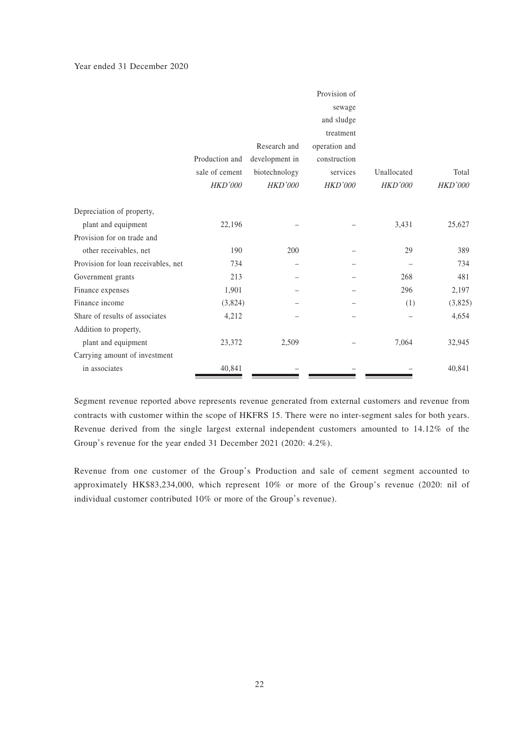#### Year ended 31 December 2020

|                                     |                |                | Provision of   |                |         |
|-------------------------------------|----------------|----------------|----------------|----------------|---------|
|                                     |                |                | sewage         |                |         |
|                                     |                |                | and sludge     |                |         |
|                                     |                |                | treatment      |                |         |
|                                     |                | Research and   | operation and  |                |         |
|                                     | Production and | development in | construction   |                |         |
|                                     | sale of cement | biotechnology  | services       | Unallocated    | Total   |
|                                     | HKD'000        | HKD'000        | <b>HKD'000</b> | <b>HKD'000</b> | HKD'000 |
| Depreciation of property,           |                |                |                |                |         |
| plant and equipment                 | 22,196         |                |                | 3,431          | 25,627  |
| Provision for on trade and          |                |                |                |                |         |
| other receivables, net              | 190            | 200            |                | 29             | 389     |
| Provision for loan receivables, net | 734            |                |                |                | 734     |
| Government grants                   | 213            |                |                | 268            | 481     |
| Finance expenses                    | 1,901          |                |                | 296            | 2,197   |
| Finance income                      | (3,824)        |                |                | (1)            | (3,825) |
| Share of results of associates      | 4,212          |                |                |                | 4,654   |
| Addition to property,               |                |                |                |                |         |
| plant and equipment                 | 23,372         | 2,509          |                | 7,064          | 32,945  |
| Carrying amount of investment       |                |                |                |                |         |
| in associates                       | 40,841         |                |                |                | 40,841  |

Segment revenue reported above represents revenue generated from external customers and revenue from contracts with customer within the scope of HKFRS 15. There were no inter-segment sales for both years. Revenue derived from the single largest external independent customers amounted to 14.12% of the Group's revenue for the year ended 31 December 2021 (2020: 4.2%).

Revenue from one customer of the Group's Production and sale of cement segment accounted to approximately HK\$83,234,000, which represent 10% or more of the Group's revenue (2020: nil of individual customer contributed 10% or more of the Group's revenue).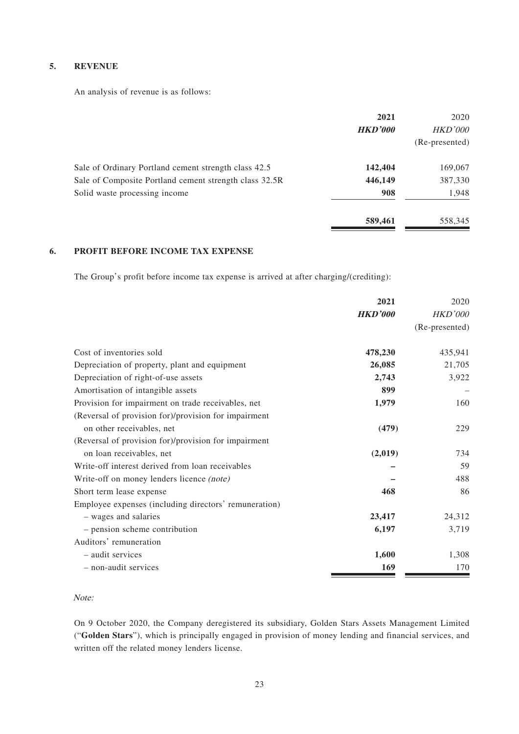#### **5. REVENUE**

An analysis of revenue is as follows:

|                                                        | 2021<br><b>HKD'000</b> | 2020<br><b>HKD'000</b><br>(Re-presented) |
|--------------------------------------------------------|------------------------|------------------------------------------|
| Sale of Ordinary Portland cement strength class 42.5   | 142,404                | 169,067                                  |
| Sale of Composite Portland cement strength class 32.5R | 446,149                | 387,330                                  |
| Solid waste processing income                          | 908                    | 1,948                                    |
|                                                        | 589,461                | 558,345                                  |

#### **6. PROFIT BEFORE INCOME TAX EXPENSE**

The Group's profit before income tax expense is arrived at after charging/(crediting):

|                                                       | 2021           | 2020           |
|-------------------------------------------------------|----------------|----------------|
|                                                       | <b>HKD'000</b> | <i>HKD'000</i> |
|                                                       |                | (Re-presented) |
| Cost of inventories sold                              | 478,230        | 435,941        |
| Depreciation of property, plant and equipment         | 26,085         | 21,705         |
| Depreciation of right-of-use assets                   | 2,743          | 3,922          |
| Amortisation of intangible assets                     | 899            |                |
| Provision for impairment on trade receivables, net    | 1,979          | 160            |
| (Reversal of provision for)/provision for impairment  |                |                |
| on other receivables, net                             | (479)          | 229            |
| (Reversal of provision for)/provision for impairment  |                |                |
| on loan receivables, net                              | (2,019)        | 734            |
| Write-off interest derived from loan receivables      |                | 59             |
| Write-off on money lenders licence (note)             |                | 488            |
| Short term lease expense                              | 468            | 86             |
| Employee expenses (including directors' remuneration) |                |                |
| - wages and salaries                                  | 23,417         | 24,312         |
| - pension scheme contribution                         | 6,197          | 3,719          |
| Auditors' remuneration                                |                |                |
| - audit services                                      | 1,600          | 1,308          |
| - non-audit services                                  | 169            | 170            |

#### Note:

On 9 October 2020, the Company deregistered its subsidiary, Golden Stars Assets Management Limited ("**Golden Stars**"), which is principally engaged in provision of money lending and financial services, and written off the related money lenders license.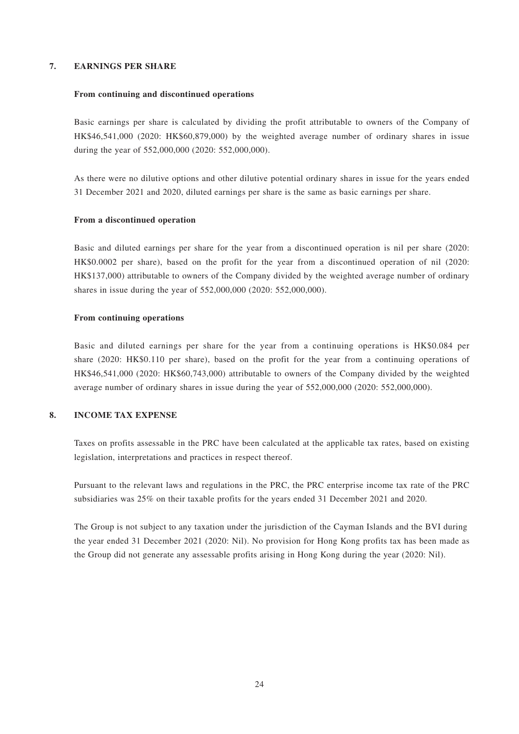#### **7. EARNINGS PER SHARE**

#### **From continuing and discontinued operations**

Basic earnings per share is calculated by dividing the profit attributable to owners of the Company of HK\$46,541,000 (2020: HK\$60,879,000) by the weighted average number of ordinary shares in issue during the year of 552,000,000 (2020: 552,000,000).

As there were no dilutive options and other dilutive potential ordinary shares in issue for the years ended 31 December 2021 and 2020, diluted earnings per share is the same as basic earnings per share.

#### **From a discontinued operation**

Basic and diluted earnings per share for the year from a discontinued operation is nil per share (2020: HK\$0.0002 per share), based on the profit for the year from a discontinued operation of nil (2020: HK\$137,000) attributable to owners of the Company divided by the weighted average number of ordinary shares in issue during the year of 552,000,000 (2020: 552,000,000).

#### **From continuing operations**

Basic and diluted earnings per share for the year from a continuing operations is HK\$0.084 per share (2020: HK\$0.110 per share), based on the profit for the year from a continuing operations of HK\$46,541,000 (2020: HK\$60,743,000) attributable to owners of the Company divided by the weighted average number of ordinary shares in issue during the year of 552,000,000 (2020: 552,000,000).

#### **8. INCOME TAX EXPENSE**

Taxes on profits assessable in the PRC have been calculated at the applicable tax rates, based on existing legislation, interpretations and practices in respect thereof.

Pursuant to the relevant laws and regulations in the PRC, the PRC enterprise income tax rate of the PRC subsidiaries was 25% on their taxable profits for the years ended 31 December 2021 and 2020.

The Group is not subject to any taxation under the jurisdiction of the Cayman Islands and the BVI during the year ended 31 December 2021 (2020: Nil). No provision for Hong Kong profits tax has been made as the Group did not generate any assessable profits arising in Hong Kong during the year (2020: Nil).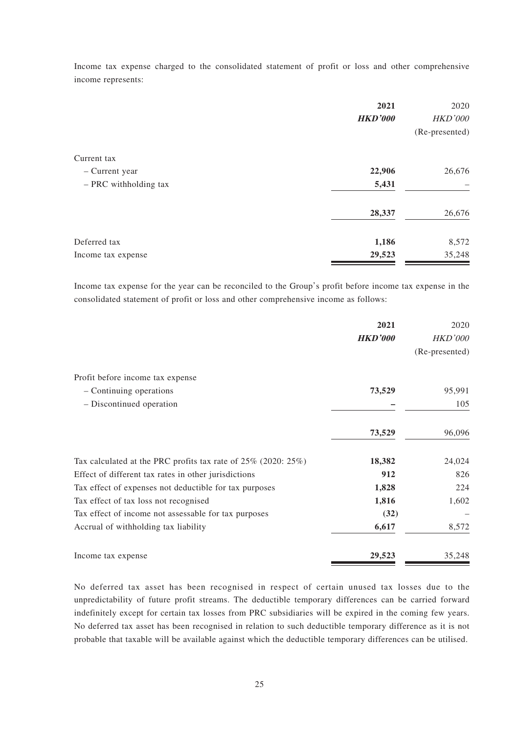Income tax expense charged to the consolidated statement of profit or loss and other comprehensive income represents:

|                       | 2021<br><b>HKD'000</b> | 2020<br><b>HKD'000</b><br>(Re-presented) |
|-----------------------|------------------------|------------------------------------------|
| Current tax           |                        |                                          |
| - Current year        | 22,906                 | 26,676                                   |
| - PRC withholding tax | 5,431                  |                                          |
|                       | 28,337                 | 26,676                                   |
| Deferred tax          | 1,186                  | 8,572                                    |
| Income tax expense    | 29,523                 | 35,248                                   |

Income tax expense for the year can be reconciled to the Group's profit before income tax expense in the consolidated statement of profit or loss and other comprehensive income as follows:

|                                                                     | 2021<br><b>HKD'000</b> | 2020<br><b>HKD'000</b><br>(Re-presented) |
|---------------------------------------------------------------------|------------------------|------------------------------------------|
| Profit before income tax expense                                    |                        |                                          |
| - Continuing operations                                             | 73,529                 | 95,991                                   |
| - Discontinued operation                                            |                        | 105                                      |
|                                                                     | 73,529                 | 96,096                                   |
| Tax calculated at the PRC profits tax rate of $25\%$ (2020: $25\%)$ | 18,382                 | 24,024                                   |
| Effect of different tax rates in other jurisdictions                | 912                    | 826                                      |
| Tax effect of expenses not deductible for tax purposes              | 1,828                  | 224                                      |
| Tax effect of tax loss not recognised                               | 1,816                  | 1,602                                    |
| Tax effect of income not assessable for tax purposes                | (32)                   |                                          |
| Accrual of withholding tax liability                                | 6,617                  | 8,572                                    |
| Income tax expense                                                  | 29,523                 | 35,248                                   |

No deferred tax asset has been recognised in respect of certain unused tax losses due to the unpredictability of future profit streams. The deductible temporary differences can be carried forward indefinitely except for certain tax losses from PRC subsidiaries will be expired in the coming few years. No deferred tax asset has been recognised in relation to such deductible temporary difference as it is not probable that taxable will be available against which the deductible temporary differences can be utilised.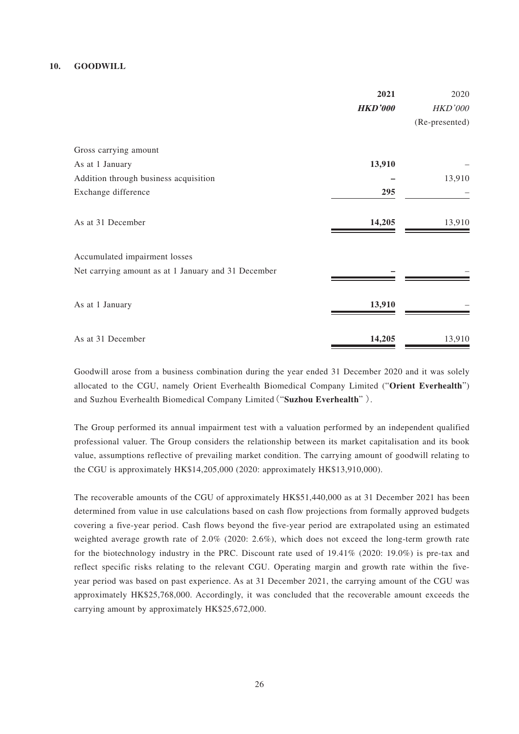#### **10. GOODWILL**

|                                                     | 2021<br><b>HKD'000</b> | 2020<br><b>HKD'000</b><br>(Re-presented) |
|-----------------------------------------------------|------------------------|------------------------------------------|
| Gross carrying amount                               |                        |                                          |
| As at 1 January                                     | 13,910                 |                                          |
| Addition through business acquisition               |                        | 13,910                                   |
| Exchange difference                                 | 295                    |                                          |
| As at 31 December                                   | 14,205                 | 13,910                                   |
| Accumulated impairment losses                       |                        |                                          |
| Net carrying amount as at 1 January and 31 December |                        |                                          |
| As at 1 January                                     | 13,910                 |                                          |
| As at 31 December                                   | 14,205                 | 13,910                                   |

Goodwill arose from a business combination during the year ended 31 December 2020 and it was solely allocated to the CGU, namely Orient Everhealth Biomedical Company Limited ("**Orient Everhealth**") and Suzhou Everhealth Biomedical Company Limited("**Suzhou Everhealth**" ).

The Group performed its annual impairment test with a valuation performed by an independent qualified professional valuer. The Group considers the relationship between its market capitalisation and its book value, assumptions reflective of prevailing market condition. The carrying amount of goodwill relating to the CGU is approximately HK\$14,205,000 (2020: approximately HK\$13,910,000).

The recoverable amounts of the CGU of approximately HK\$51,440,000 as at 31 December 2021 has been determined from value in use calculations based on cash flow projections from formally approved budgets covering a five-year period. Cash flows beyond the five-year period are extrapolated using an estimated weighted average growth rate of 2.0% (2020: 2.6%), which does not exceed the long-term growth rate for the biotechnology industry in the PRC. Discount rate used of 19.41% (2020: 19.0%) is pre-tax and reflect specific risks relating to the relevant CGU. Operating margin and growth rate within the fiveyear period was based on past experience. As at 31 December 2021, the carrying amount of the CGU was approximately HK\$25,768,000. Accordingly, it was concluded that the recoverable amount exceeds the carrying amount by approximately HK\$25,672,000.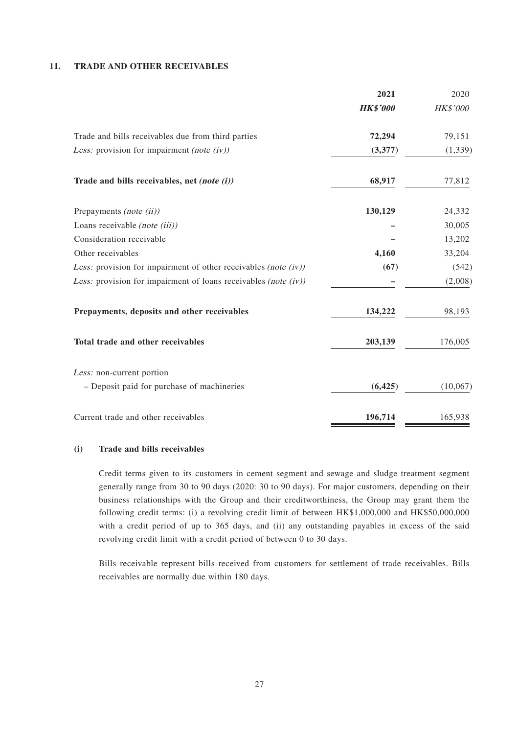#### **11. TRADE AND OTHER RECEIVABLES**

|                                                                    | 2021            | 2020            |
|--------------------------------------------------------------------|-----------------|-----------------|
|                                                                    | <b>HK\$'000</b> | <b>HK\$'000</b> |
| Trade and bills receivables due from third parties                 | 72,294          | 79,151          |
| Less: provision for impairment (note (iv))                         | (3,377)         | (1, 339)        |
| Trade and bills receivables, net (note (i))                        | 68,917          | 77,812          |
| Prepayments (note (ii))                                            | 130,129         | 24,332          |
| Loans receivable (note (iii))                                      |                 | 30,005          |
| Consideration receivable                                           |                 | 13,202          |
| Other receivables                                                  | 4,160           | 33,204          |
| Less: provision for impairment of other receivables (note (iv))    | (67)            | (542)           |
| Less: provision for impairment of loans receivables (note $(iv)$ ) |                 | (2,008)         |
| Prepayments, deposits and other receivables                        | 134,222         | 98,193          |
| Total trade and other receivables                                  | 203,139         | 176,005         |
| Less: non-current portion                                          |                 |                 |
| - Deposit paid for purchase of machineries                         | (6, 425)        | (10,067)        |
| Current trade and other receivables                                | 196,714         | 165,938         |

#### **(i) Trade and bills receivables**

Credit terms given to its customers in cement segment and sewage and sludge treatment segment generally range from 30 to 90 days (2020: 30 to 90 days). For major customers, depending on their business relationships with the Group and their creditworthiness, the Group may grant them the following credit terms: (i) a revolving credit limit of between HK\$1,000,000 and HK\$50,000,000 with a credit period of up to 365 days, and (ii) any outstanding payables in excess of the said revolving credit limit with a credit period of between 0 to 30 days.

Bills receivable represent bills received from customers for settlement of trade receivables. Bills receivables are normally due within 180 days.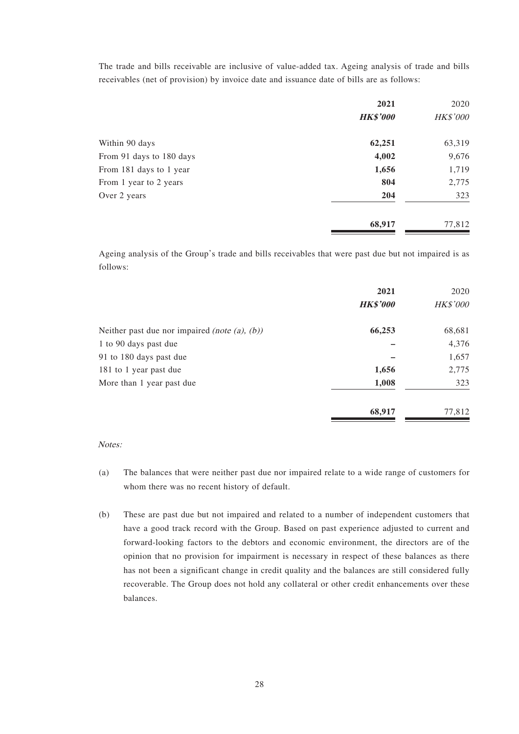The trade and bills receivable are inclusive of value-added tax. Ageing analysis of trade and bills receivables (net of provision) by invoice date and issuance date of bills are as follows:

|                          | 2021            | 2020            |
|--------------------------|-----------------|-----------------|
|                          | <b>HK\$'000</b> | <b>HK\$'000</b> |
| Within 90 days           | 62,251          | 63,319          |
| From 91 days to 180 days | 4,002           | 9,676           |
| From 181 days to 1 year  | 1,656           | 1,719           |
| From 1 year to 2 years   | 804             | 2,775           |
| Over 2 years             | 204             | 323             |
|                          | 68,917          | 77,812          |

Ageing analysis of the Group's trade and bills receivables that were past due but not impaired is as follows:

|                                                          | 2021            | 2020            |
|----------------------------------------------------------|-----------------|-----------------|
|                                                          | <b>HK\$'000</b> | <b>HK\$'000</b> |
| Neither past due nor impaired <i>(note (a)</i> , $(b)$ ) | 66,253          | 68,681          |
| 1 to 90 days past due                                    |                 | 4,376           |
| 91 to 180 days past due                                  |                 | 1,657           |
| 181 to 1 year past due                                   | 1,656           | 2,775           |
| More than 1 year past due                                | 1,008           | 323             |
|                                                          | 68,917          | 77,812          |

#### Notes:

- (a) The balances that were neither past due nor impaired relate to a wide range of customers for whom there was no recent history of default.
- (b) These are past due but not impaired and related to a number of independent customers that have a good track record with the Group. Based on past experience adjusted to current and forward-looking factors to the debtors and economic environment, the directors are of the opinion that no provision for impairment is necessary in respect of these balances as there has not been a significant change in credit quality and the balances are still considered fully recoverable. The Group does not hold any collateral or other credit enhancements over these balances.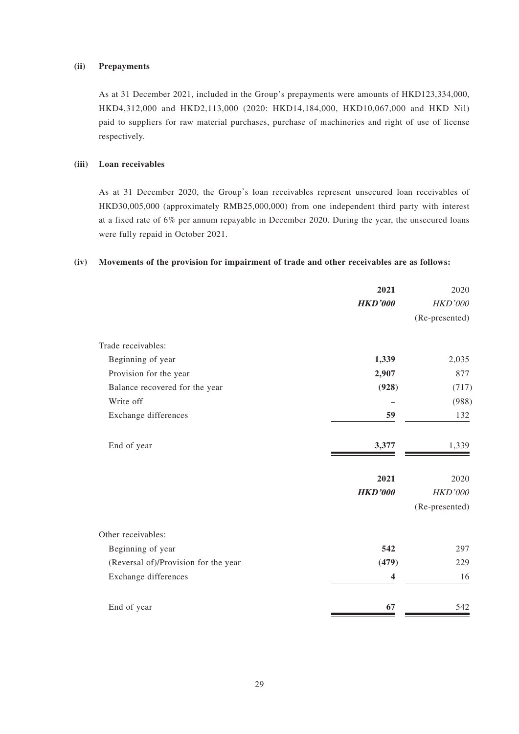#### **(ii) Prepayments**

As at 31 December 2021, included in the Group's prepayments were amounts of HKD123,334,000, HKD4,312,000 and HKD2,113,000 (2020: HKD14,184,000, HKD10,067,000 and HKD Nil) paid to suppliers for raw material purchases, purchase of machineries and right of use of license respectively.

#### **(iii) Loan receivables**

As at 31 December 2020, the Group's loan receivables represent unsecured loan receivables of HKD30,005,000 (approximately RMB25,000,000) from one independent third party with interest at a fixed rate of 6% per annum repayable in December 2020. During the year, the unsecured loans were fully repaid in October 2021.

#### **(iv) Movements of the provision for impairment of trade and other receivables are as follows:**

|                                      | 2021                    | 2020           |
|--------------------------------------|-------------------------|----------------|
|                                      | <b>HKD'000</b>          | HKD'000        |
|                                      |                         | (Re-presented) |
| Trade receivables:                   |                         |                |
| Beginning of year                    | 1,339                   | 2,035          |
| Provision for the year               | 2,907                   | 877            |
| Balance recovered for the year       | (928)                   | (717)          |
| Write off                            |                         | (988)          |
| Exchange differences                 | 59                      | 132            |
| End of year                          | 3,377                   | 1,339          |
|                                      | 2021                    | 2020           |
|                                      | <b>HKD'000</b>          | HKD'000        |
|                                      |                         | (Re-presented) |
| Other receivables:                   |                         |                |
| Beginning of year                    | 542                     | 297            |
| (Reversal of)/Provision for the year | (479)                   | 229            |
| Exchange differences                 | $\overline{\mathbf{4}}$ | 16             |
| End of year                          | 67                      | 542            |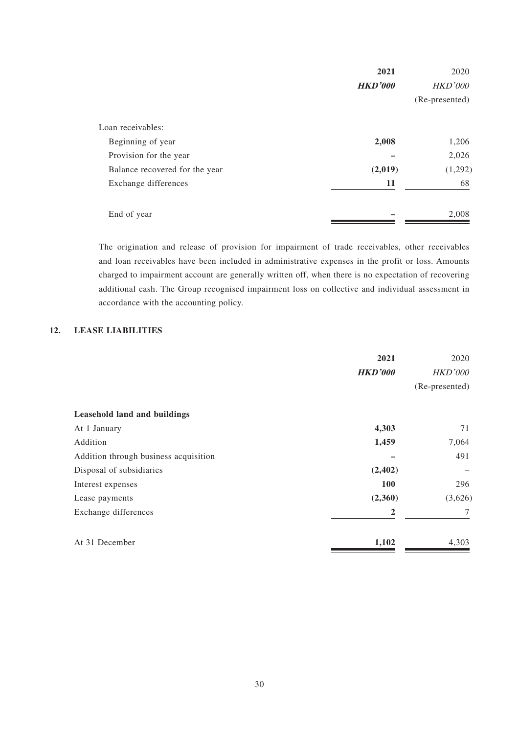|                                | 2021           | 2020           |
|--------------------------------|----------------|----------------|
|                                | <b>HKD'000</b> | <b>HKD'000</b> |
|                                |                | (Re-presented) |
| Loan receivables:              |                |                |
| Beginning of year              | 2,008          | 1,206          |
| Provision for the year         |                | 2,026          |
| Balance recovered for the year | (2,019)        | (1,292)        |
| Exchange differences           | 11             | 68             |
| End of year                    |                | 2,008          |

The origination and release of provision for impairment of trade receivables, other receivables and loan receivables have been included in administrative expenses in the profit or loss. Amounts charged to impairment account are generally written off, when there is no expectation of recovering additional cash. The Group recognised impairment loss on collective and individual assessment in accordance with the accounting policy.

## **12. LEASE LIABILITIES**

|                                       | 2021           | 2020           |
|---------------------------------------|----------------|----------------|
|                                       | <b>HKD'000</b> | <b>HKD'000</b> |
|                                       |                | (Re-presented) |
| Leasehold land and buildings          |                |                |
| At 1 January                          | 4,303          | 71             |
| Addition                              | 1,459          | 7,064          |
| Addition through business acquisition |                | 491            |
| Disposal of subsidiaries              | (2,402)        |                |
| Interest expenses                     | <b>100</b>     | 296            |
| Lease payments                        | (2,360)        | (3,626)        |
| Exchange differences                  | 2              | 7              |
| At 31 December                        | 1,102          | 4,303          |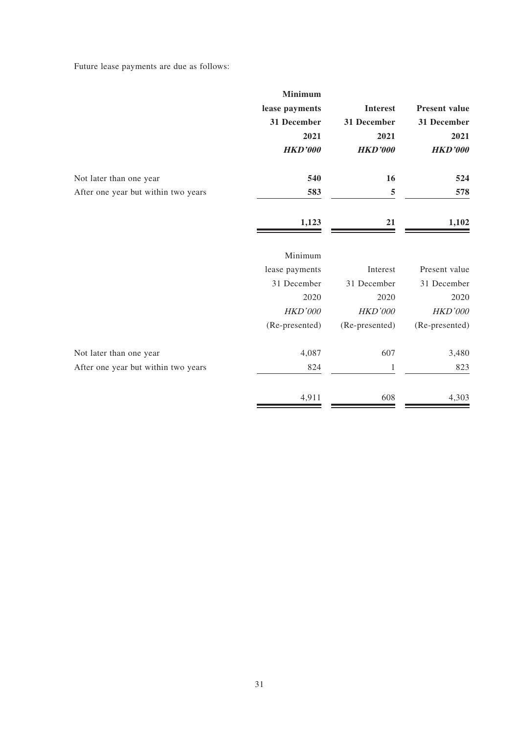Future lease payments are due as follows:

|                      |                 | <b>Minimum</b> |                                     |
|----------------------|-----------------|----------------|-------------------------------------|
| <b>Present value</b> | <b>Interest</b> | lease payments |                                     |
| 31 December          | 31 December     | 31 December    |                                     |
| 2021                 | 2021            | 2021           |                                     |
| <b>HKD'000</b>       | <b>HKD'000</b>  | <b>HKD'000</b> |                                     |
| 524                  | 16              | 540            | Not later than one year             |
| 578                  | 5               | 583            | After one year but within two years |
| 1,102                | 21              | 1,123          |                                     |
|                      |                 | Minimum        |                                     |
| Present value        | Interest        | lease payments |                                     |
| 31 December          | 31 December     | 31 December    |                                     |
| 2020                 | 2020            | 2020           |                                     |
| <b>HKD'000</b>       | <b>HKD'000</b>  | <b>HKD'000</b> |                                     |
| (Re-presented)       | (Re-presented)  | (Re-presented) |                                     |
| 3,480                | 607             | 4,087          | Not later than one year             |
| 823                  | 1               | 824            | After one year but within two years |
| 4,303                | 608             | 4,911          |                                     |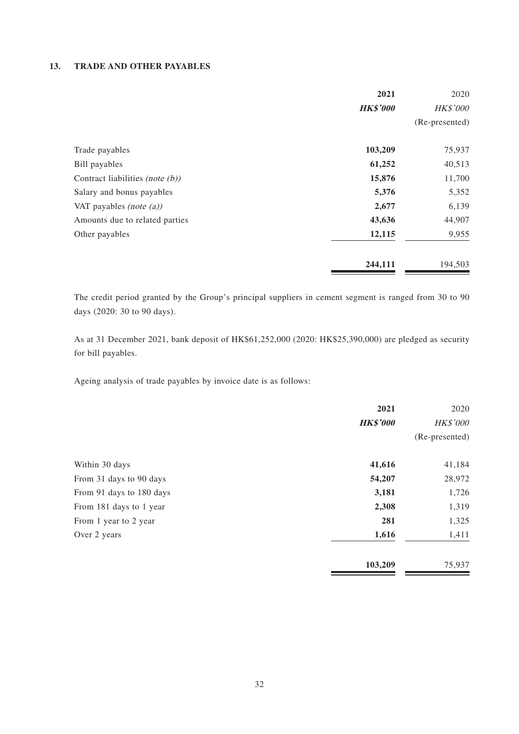#### **13. TRADE AND OTHER PAYABLES**

|                                    | 2021            | 2020           |
|------------------------------------|-----------------|----------------|
|                                    | <b>HK\$'000</b> | HK\$'000       |
|                                    |                 | (Re-presented) |
| Trade payables                     | 103,209         | 75,937         |
| Bill payables                      | 61,252          | 40,513         |
| Contract liabilities (note $(b)$ ) | 15,876          | 11,700         |
| Salary and bonus payables          | 5,376           | 5,352          |
| VAT payables (note $(a)$ )         | 2,677           | 6,139          |
| Amounts due to related parties     | 43,636          | 44,907         |
| Other payables                     | 12,115          | 9,955          |
|                                    | 244,111         | 194,503        |

The credit period granted by the Group's principal suppliers in cement segment is ranged from 30 to 90 days (2020: 30 to 90 days).

As at 31 December 2021, bank deposit of HK\$61,252,000 (2020: HK\$25,390,000) are pledged as security for bill payables.

Ageing analysis of trade payables by invoice date is as follows:

|                          | 2021            | 2020            |
|--------------------------|-----------------|-----------------|
|                          | <b>HK\$'000</b> | <b>HK\$'000</b> |
|                          |                 | (Re-presented)  |
| Within 30 days           | 41,616          | 41,184          |
| From 31 days to 90 days  | 54,207          | 28,972          |
| From 91 days to 180 days | 3,181           | 1,726           |
| From 181 days to 1 year  | 2,308           | 1,319           |
| From 1 year to 2 year    | 281             | 1,325           |
| Over 2 years             | 1,616           | 1,411           |
|                          | 103,209         | 75,937          |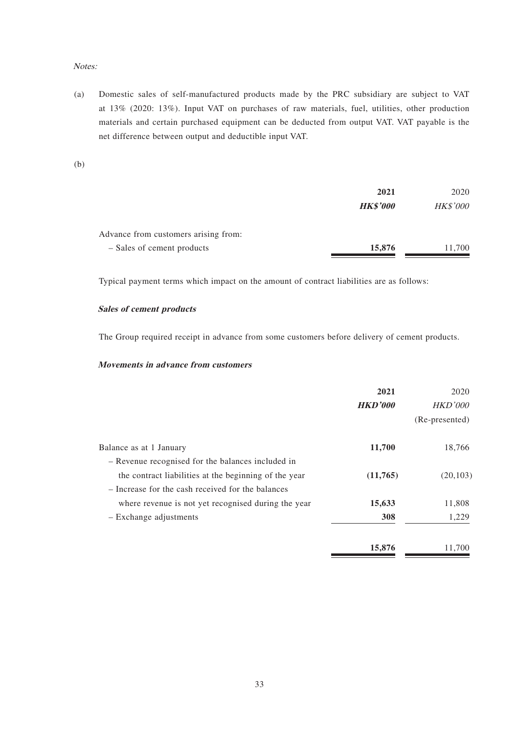#### Notes:

(a) Domestic sales of self-manufactured products made by the PRC subsidiary are subject to VAT at 13% (2020: 13%). Input VAT on purchases of raw materials, fuel, utilities, other production materials and certain purchased equipment can be deducted from output VAT. VAT payable is the net difference between output and deductible input VAT.

(b)

|                                      | 2021            | 2020            |  |
|--------------------------------------|-----------------|-----------------|--|
|                                      | <b>HK\$'000</b> | <b>HK\$'000</b> |  |
| Advance from customers arising from: |                 |                 |  |
| - Sales of cement products           | 15,876          | 11,700          |  |

Typical payment terms which impact on the amount of contract liabilities are as follows:

#### **Sales of cement products**

The Group required receipt in advance from some customers before delivery of cement products.

#### **Movements in advance from customers**

|                                                       | 2021           | 2020           |
|-------------------------------------------------------|----------------|----------------|
|                                                       | <b>HKD'000</b> | <b>HKD'000</b> |
|                                                       |                | (Re-presented) |
| Balance as at 1 January                               | 11,700         | 18,766         |
| - Revenue recognised for the balances included in     |                |                |
| the contract liabilities at the beginning of the year | (11,765)       | (20, 103)      |
| - Increase for the cash received for the balances     |                |                |
| where revenue is not yet recognised during the year   | 15,633         | 11,808         |
| - Exchange adjustments                                | 308            | 1,229          |
|                                                       | 15,876         | 11,700         |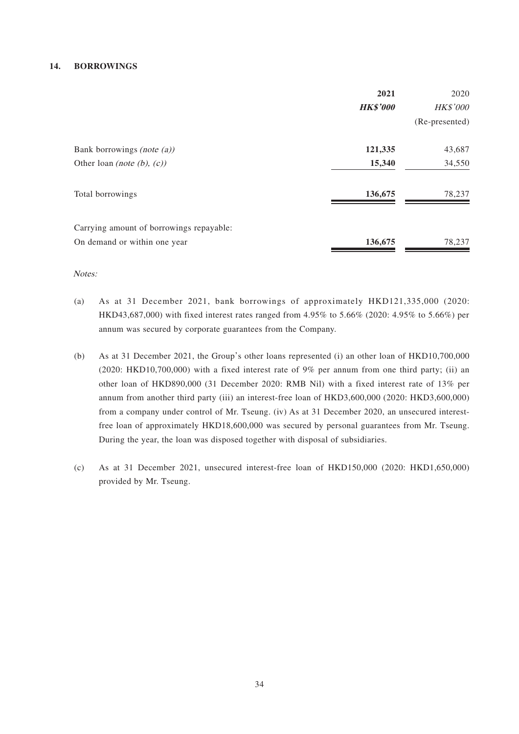#### **14. BORROWINGS**

|                                          | 2021            | 2020           |
|------------------------------------------|-----------------|----------------|
|                                          | <b>HK\$'000</b> | HK\$'000       |
|                                          |                 | (Re-presented) |
| Bank borrowings <i>(note (a))</i>        | 121,335         | 43,687         |
| Other loan (note (b), $(c)$ )            | 15,340          | 34,550         |
| Total borrowings                         | 136,675         | 78,237         |
| Carrying amount of borrowings repayable: |                 |                |
| On demand or within one year             | 136,675         | 78,237         |

Notes:

- (a) As at 31 December 2021, bank borrowings of approximately HKD121,335,000 (2020: HKD43,687,000) with fixed interest rates ranged from 4.95% to 5.66% (2020: 4.95% to 5.66%) per annum was secured by corporate guarantees from the Company.
- (b) As at 31 December 2021, the Group's other loans represented (i) an other loan of HKD10,700,000 (2020: HKD10,700,000) with a fixed interest rate of 9% per annum from one third party; (ii) an other loan of HKD890,000 (31 December 2020: RMB Nil) with a fixed interest rate of 13% per annum from another third party (iii) an interest-free loan of HKD3,600,000 (2020: HKD3,600,000) from a company under control of Mr. Tseung. (iv) As at 31 December 2020, an unsecured interestfree loan of approximately HKD18,600,000 was secured by personal guarantees from Mr. Tseung. During the year, the loan was disposed together with disposal of subsidiaries.
- (c) As at 31 December 2021, unsecured interest-free loan of HKD150,000 (2020: HKD1,650,000) provided by Mr. Tseung.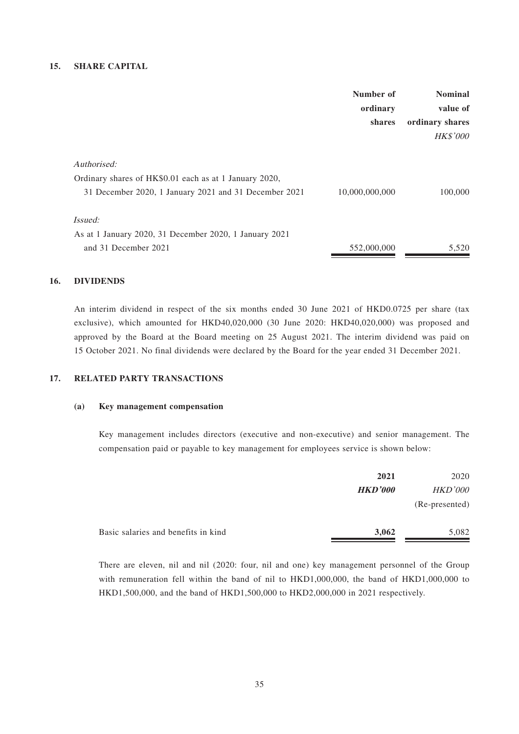#### **15. SHARE CAPITAL**

|                                                        | Number of      | <b>Nominal</b>  |
|--------------------------------------------------------|----------------|-----------------|
|                                                        | ordinary       | value of        |
|                                                        | shares         | ordinary shares |
|                                                        |                | <b>HK\$'000</b> |
| Authorised:                                            |                |                 |
| Ordinary shares of HK\$0.01 each as at 1 January 2020, |                |                 |
| 31 December 2020, 1 January 2021 and 31 December 2021  | 10,000,000,000 | 100,000         |
| <i>Issued:</i>                                         |                |                 |
| As at 1 January 2020, 31 December 2020, 1 January 2021 |                |                 |
| and 31 December 2021                                   | 552,000,000    | 5,520           |
|                                                        |                |                 |

#### **16. DIVIDENDS**

An interim dividend in respect of the six months ended 30 June 2021 of HKD0.0725 per share (tax exclusive), which amounted for HKD40,020,000 (30 June 2020: HKD40,020,000) was proposed and approved by the Board at the Board meeting on 25 August 2021. The interim dividend was paid on 15 October 2021. No final dividends were declared by the Board for the year ended 31 December 2021.

#### **17. RELATED PARTY TRANSACTIONS**

#### **(a) Key management compensation**

Key management includes directors (executive and non-executive) and senior management. The compensation paid or payable to key management for employees service is shown below:

|                                     | 2021           | 2020           |
|-------------------------------------|----------------|----------------|
|                                     | <b>HKD'000</b> | <b>HKD'000</b> |
|                                     |                | (Re-presented) |
| Basic salaries and benefits in kind | 3,062          | 5,082          |

There are eleven, nil and nil (2020: four, nil and one) key management personnel of the Group with remuneration fell within the band of nil to HKD1,000,000, the band of HKD1,000,000 to HKD1,500,000, and the band of HKD1,500,000 to HKD2,000,000 in 2021 respectively.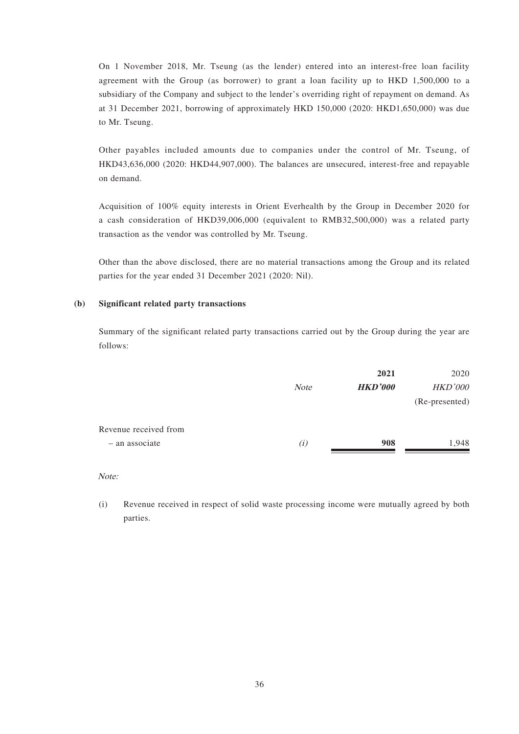On 1 November 2018, Mr. Tseung (as the lender) entered into an interest-free loan facility agreement with the Group (as borrower) to grant a loan facility up to HKD 1,500,000 to a subsidiary of the Company and subject to the lender's overriding right of repayment on demand. As at 31 December 2021, borrowing of approximately HKD 150,000 (2020: HKD1,650,000) was due to Mr. Tseung.

Other payables included amounts due to companies under the control of Mr. Tseung, of HKD43,636,000 (2020: HKD44,907,000). The balances are unsecured, interest-free and repayable on demand.

Acquisition of 100% equity interests in Orient Everhealth by the Group in December 2020 for a cash consideration of HKD39,006,000 (equivalent to RMB32,500,000) was a related party transaction as the vendor was controlled by Mr. Tseung.

Other than the above disclosed, there are no material transactions among the Group and its related parties for the year ended 31 December 2021 (2020: Nil).

#### **(b) Significant related party transactions**

Summary of the significant related party transactions carried out by the Group during the year are follows:

|                       |             | 2021           | 2020           |
|-----------------------|-------------|----------------|----------------|
|                       | <b>Note</b> | <b>HKD'000</b> | <b>HKD'000</b> |
|                       |             |                | (Re-presented) |
| Revenue received from |             |                |                |
| - an associate        | (i)         | 908            | 1,948          |
|                       |             |                |                |

Note:

(i) Revenue received in respect of solid waste processing income were mutually agreed by both parties.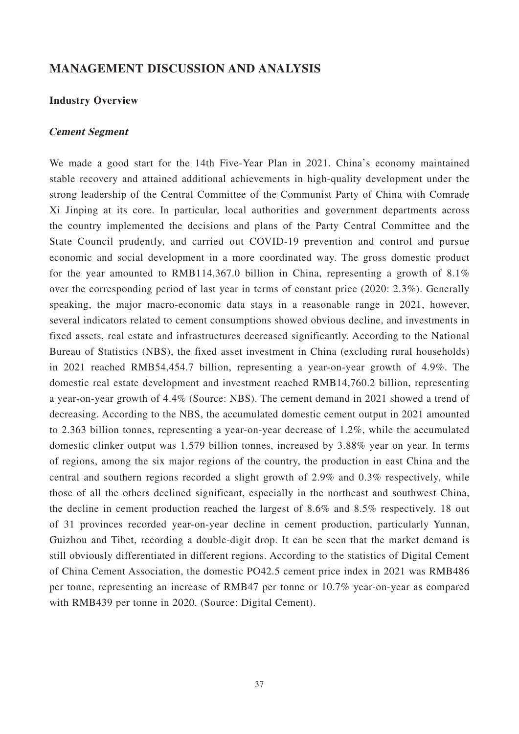## **MANAGEMENT DISCUSSION AND ANALYSIS**

## **Industry Overview**

#### **Cement Segment**

We made a good start for the 14th Five-Year Plan in 2021. China's economy maintained stable recovery and attained additional achievements in high-quality development under the strong leadership of the Central Committee of the Communist Party of China with Comrade Xi Jinping at its core. In particular, local authorities and government departments across the country implemented the decisions and plans of the Party Central Committee and the State Council prudently, and carried out COVID-19 prevention and control and pursue economic and social development in a more coordinated way. The gross domestic product for the year amounted to RMB114,367.0 billion in China, representing a growth of  $8.1\%$ over the corresponding period of last year in terms of constant price (2020: 2.3%). Generally speaking, the major macro-economic data stays in a reasonable range in 2021, however, several indicators related to cement consumptions showed obvious decline, and investments in fixed assets, real estate and infrastructures decreased significantly. According to the National Bureau of Statistics (NBS), the fixed asset investment in China (excluding rural households) in 2021 reached RMB54,454.7 billion, representing a year-on-year growth of 4.9%. The domestic real estate development and investment reached RMB14,760.2 billion, representing a year-on-year growth of 4.4% (Source: NBS). The cement demand in 2021 showed a trend of decreasing. According to the NBS, the accumulated domestic cement output in 2021 amounted to 2.363 billion tonnes, representing a year-on-year decrease of 1.2%, while the accumulated domestic clinker output was 1.579 billion tonnes, increased by 3.88% year on year. In terms of regions, among the six major regions of the country, the production in east China and the central and southern regions recorded a slight growth of 2.9% and 0.3% respectively, while those of all the others declined significant, especially in the northeast and southwest China, the decline in cement production reached the largest of 8.6% and 8.5% respectively. 18 out of 31 provinces recorded year-on-year decline in cement production, particularly Yunnan, Guizhou and Tibet, recording a double-digit drop. It can be seen that the market demand is still obviously differentiated in different regions. According to the statistics of Digital Cement of China Cement Association, the domestic PO42.5 cement price index in 2021 was RMB486 per tonne, representing an increase of RMB47 per tonne or 10.7% year-on-year as compared with RMB439 per tonne in 2020. (Source: Digital Cement).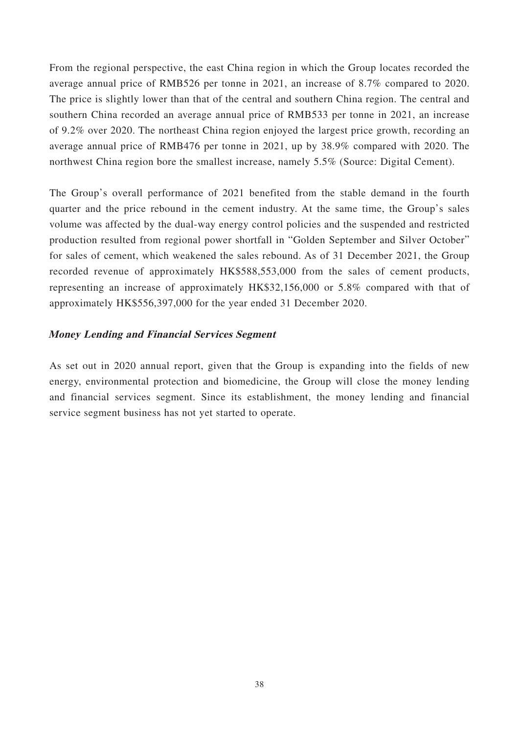From the regional perspective, the east China region in which the Group locates recorded the average annual price of RMB526 per tonne in 2021, an increase of 8.7% compared to 2020. The price is slightly lower than that of the central and southern China region. The central and southern China recorded an average annual price of RMB533 per tonne in 2021, an increase of 9.2% over 2020. The northeast China region enjoyed the largest price growth, recording an average annual price of RMB476 per tonne in 2021, up by 38.9% compared with 2020. The northwest China region bore the smallest increase, namely 5.5% (Source: Digital Cement).

The Group's overall performance of 2021 benefited from the stable demand in the fourth quarter and the price rebound in the cement industry. At the same time, the Group's sales volume was affected by the dual-way energy control policies and the suspended and restricted production resulted from regional power shortfall in "Golden September and Silver October" for sales of cement, which weakened the sales rebound. As of 31 December 2021, the Group recorded revenue of approximately HK\$588,553,000 from the sales of cement products, representing an increase of approximately HK\$32,156,000 or 5.8% compared with that of approximately HK\$556,397,000 for the year ended 31 December 2020.

## **Money Lending and Financial Services Segment**

As set out in 2020 annual report, given that the Group is expanding into the fields of new energy, environmental protection and biomedicine, the Group will close the money lending and financial services segment. Since its establishment, the money lending and financial service segment business has not yet started to operate.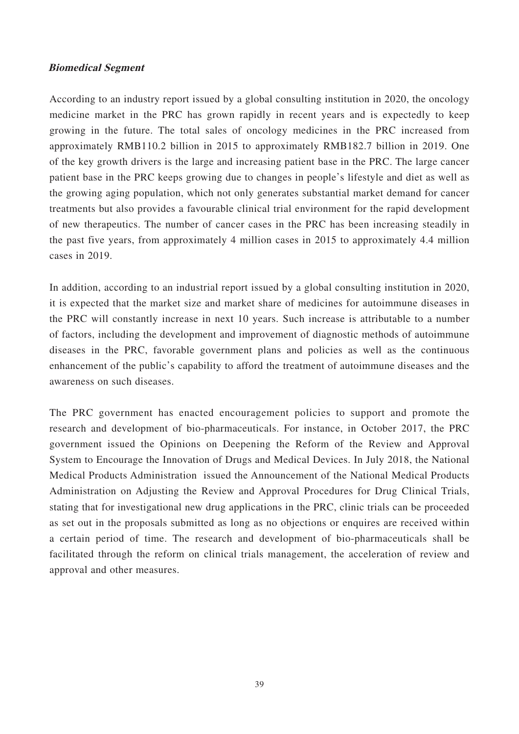#### **Biomedical Segment**

According to an industry report issued by a global consulting institution in 2020, the oncology medicine market in the PRC has grown rapidly in recent years and is expectedly to keep growing in the future. The total sales of oncology medicines in the PRC increased from approximately RMB110.2 billion in 2015 to approximately RMB182.7 billion in 2019. One of the key growth drivers is the large and increasing patient base in the PRC. The large cancer patient base in the PRC keeps growing due to changes in people's lifestyle and diet as well as the growing aging population, which not only generates substantial market demand for cancer treatments but also provides a favourable clinical trial environment for the rapid development of new therapeutics. The number of cancer cases in the PRC has been increasing steadily in the past five years, from approximately 4 million cases in 2015 to approximately 4.4 million cases in 2019.

In addition, according to an industrial report issued by a global consulting institution in 2020, it is expected that the market size and market share of medicines for autoimmune diseases in the PRC will constantly increase in next 10 years. Such increase is attributable to a number of factors, including the development and improvement of diagnostic methods of autoimmune diseases in the PRC, favorable government plans and policies as well as the continuous enhancement of the public's capability to afford the treatment of autoimmune diseases and the awareness on such diseases.

The PRC government has enacted encouragement policies to support and promote the research and development of bio-pharmaceuticals. For instance, in October 2017, the PRC government issued the Opinions on Deepening the Reform of the Review and Approval System to Encourage the Innovation of Drugs and Medical Devices. In July 2018, the National Medical Products Administration issued the Announcement of the National Medical Products Administration on Adjusting the Review and Approval Procedures for Drug Clinical Trials, stating that for investigational new drug applications in the PRC, clinic trials can be proceeded as set out in the proposals submitted as long as no objections or enquires are received within a certain period of time. The research and development of bio-pharmaceuticals shall be facilitated through the reform on clinical trials management, the acceleration of review and approval and other measures.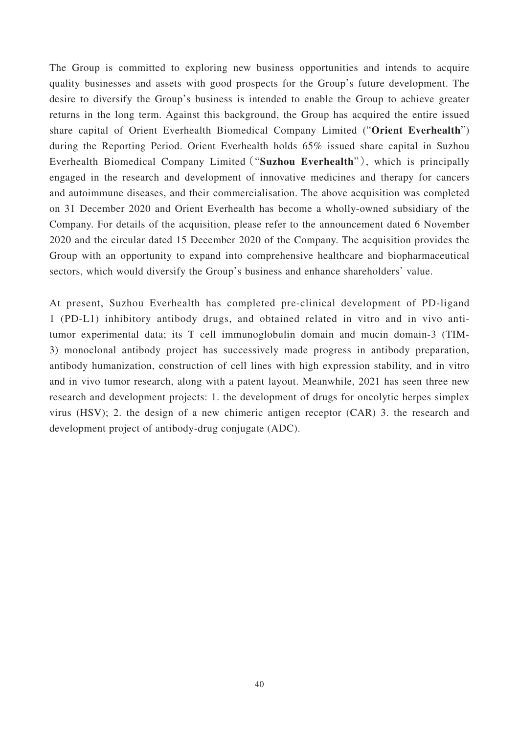The Group is committed to exploring new business opportunities and intends to acquire quality businesses and assets with good prospects for the Group's future development. The desire to diversify the Group's business is intended to enable the Group to achieve greater returns in the long term. Against this background, the Group has acquired the entire issued share capital of Orient Everhealth Biomedical Company Limited ("**Orient Everhealth**") during the Reporting Period. Orient Everhealth holds 65% issued share capital in Suzhou Everhealth Biomedical Company Limited("**Suzhou Everhealth**"), which is principally engaged in the research and development of innovative medicines and therapy for cancers and autoimmune diseases, and their commercialisation. The above acquisition was completed on 31 December 2020 and Orient Everhealth has become a wholly-owned subsidiary of the Company. For details of the acquisition, please refer to the announcement dated 6 November 2020 and the circular dated 15 December 2020 of the Company. The acquisition provides the Group with an opportunity to expand into comprehensive healthcare and biopharmaceutical sectors, which would diversify the Group's business and enhance shareholders' value.

At present, Suzhou Everhealth has completed pre-clinical development of PD-ligand 1 (PD-L1) inhibitory antibody drugs, and obtained related in vitro and in vivo antitumor experimental data; its T cell immunoglobulin domain and mucin domain-3 (TIM-3) monoclonal antibody project has successively made progress in antibody preparation, antibody humanization, construction of cell lines with high expression stability, and in vitro and in vivo tumor research, along with a patent layout. Meanwhile, 2021 has seen three new research and development projects: 1. the development of drugs for oncolytic herpes simplex virus (HSV); 2. the design of a new chimeric antigen receptor (CAR) 3. the research and development project of antibody-drug conjugate (ADC).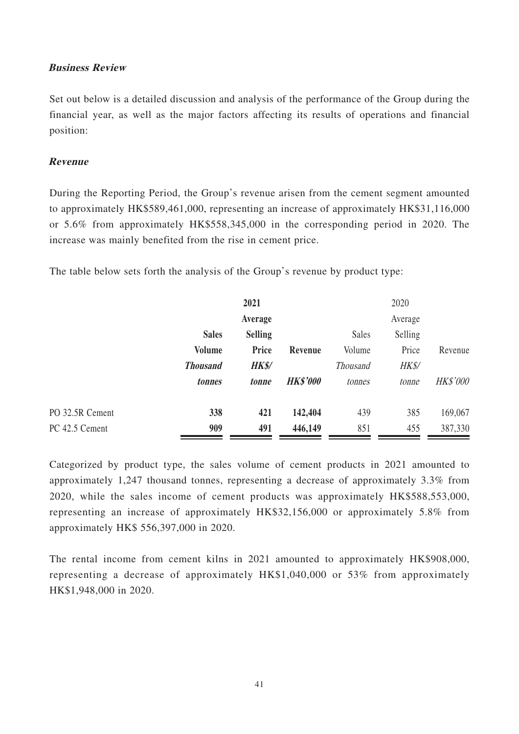### **Business Review**

Set out below is a detailed discussion and analysis of the performance of the Group during the financial year, as well as the major factors affecting its results of operations and financial position:

### **Revenue**

During the Reporting Period, the Group's revenue arisen from the cement segment amounted to approximately HK\$589,461,000, representing an increase of approximately HK\$31,116,000 or 5.6% from approximately HK\$558,345,000 in the corresponding period in 2020. The increase was mainly benefited from the rise in cement price.

The table below sets forth the analysis of the Group's revenue by product type:

|                 | 2021            |                | 2020            |                 |         |                 |
|-----------------|-----------------|----------------|-----------------|-----------------|---------|-----------------|
|                 |                 | Average        |                 |                 | Average |                 |
|                 | <b>Sales</b>    | <b>Selling</b> |                 | Sales           | Selling |                 |
|                 | <b>Volume</b>   | Price          | Revenue         | Volume          | Price   | Revenue         |
|                 | <b>Thousand</b> | <b>HK\$/</b>   |                 | <b>Thousand</b> | HK\$/   |                 |
|                 | tonnes          | tonne          | <b>HK\$'000</b> | tonnes          | tonne   | <b>HK\$'000</b> |
| PO 32.5R Cement | 338             | 421            | 142,404         | 439             | 385     | 169,067         |
| PC 42.5 Cement  | 909             | 491            | 446,149         | 851             | 455     | 387,330         |

Categorized by product type, the sales volume of cement products in 2021 amounted to approximately 1,247 thousand tonnes, representing a decrease of approximately 3.3% from 2020, while the sales income of cement products was approximately HK\$588,553,000, representing an increase of approximately HK\$32,156,000 or approximately 5.8% from approximately HK\$ 556,397,000 in 2020.

The rental income from cement kilns in 2021 amounted to approximately HK\$908,000, representing a decrease of approximately HK\$1,040,000 or 53% from approximately HK\$1,948,000 in 2020.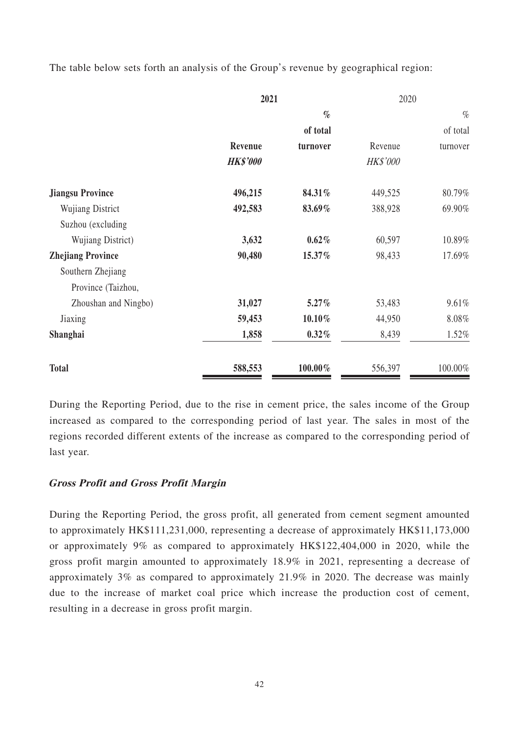The table below sets forth an analysis of the Group's revenue by geographical region:

|                          | 2021            |           | 2020     |          |
|--------------------------|-----------------|-----------|----------|----------|
|                          |                 | $\%$      |          | $\%$     |
|                          |                 | of total  |          | of total |
|                          | Revenue         | turnover  | Revenue  | turnover |
|                          | <b>HK\$'000</b> |           | HK\$'000 |          |
| <b>Jiangsu Province</b>  | 496,215         | 84.31%    | 449,525  | 80.79%   |
| <b>Wujiang District</b>  | 492,583         | 83.69%    | 388,928  | 69.90%   |
| Suzhou (excluding        |                 |           |          |          |
| Wujiang District)        | 3,632           | 0.62%     | 60,597   | 10.89%   |
| <b>Zhejiang Province</b> | 90,480          | 15.37%    | 98,433   | 17.69%   |
| Southern Zhejiang        |                 |           |          |          |
| Province (Taizhou,       |                 |           |          |          |
| Zhoushan and Ningbo)     | 31,027          | $5.27\%$  | 53,483   | 9.61%    |
| Jiaxing                  | 59,453          | $10.10\%$ | 44,950   | $8.08\%$ |
| Shanghai                 | 1,858           | $0.32\%$  | 8,439    | 1.52%    |
| <b>Total</b>             | 588,553         | 100.00%   | 556,397  | 100.00%  |

During the Reporting Period, due to the rise in cement price, the sales income of the Group increased as compared to the corresponding period of last year. The sales in most of the regions recorded different extents of the increase as compared to the corresponding period of last year.

## **Gross Profit and Gross Profit Margin**

During the Reporting Period, the gross profit, all generated from cement segment amounted to approximately HK\$111,231,000, representing a decrease of approximately HK\$11,173,000 or approximately 9% as compared to approximately HK\$122,404,000 in 2020, while the gross profit margin amounted to approximately 18.9% in 2021, representing a decrease of approximately 3% as compared to approximately 21.9% in 2020. The decrease was mainly due to the increase of market coal price which increase the production cost of cement, resulting in a decrease in gross profit margin.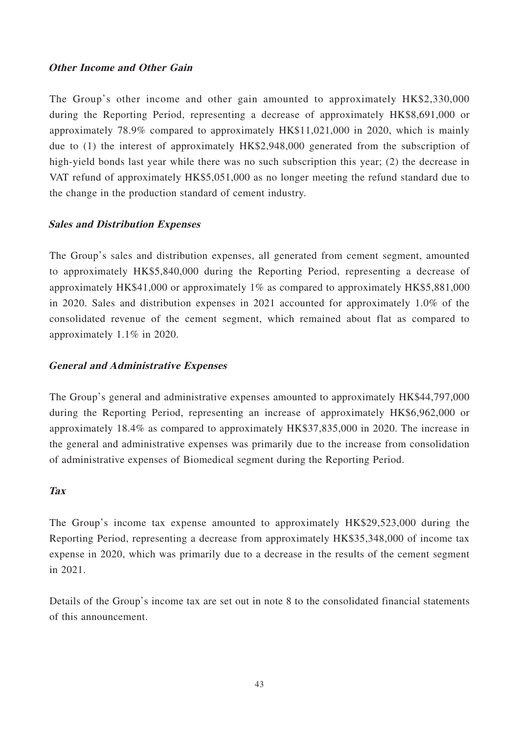## **Other Income and Other Gain**

The Group's other income and other gain amounted to approximately HK\$2,330,000 during the Reporting Period, representing a decrease of approximately HK\$8,691,000 or approximately 78.9% compared to approximately HK\$11,021,000 in 2020, which is mainly due to (1) the interest of approximately HK\$2,948,000 generated from the subscription of high-yield bonds last year while there was no such subscription this year; (2) the decrease in VAT refund of approximately HK\$5,051,000 as no longer meeting the refund standard due to the change in the production standard of cement industry.

## **Sales and Distribution Expenses**

The Group's sales and distribution expenses, all generated from cement segment, amounted to approximately HK\$5,840,000 during the Reporting Period, representing a decrease of approximately HK\$41,000 or approximately 1% as compared to approximately HK\$5,881,000 in 2020. Sales and distribution expenses in 2021 accounted for approximately 1.0% of the consolidated revenue of the cement segment, which remained about flat as compared to approximately 1.1% in 2020.

## **General and Administrative Expenses**

The Group's general and administrative expenses amounted to approximately HK\$44,797,000 during the Reporting Period, representing an increase of approximately HK\$6,962,000 or approximately 18.4% as compared to approximately HK\$37,835,000 in 2020. The increase in the general and administrative expenses was primarily due to the increase from consolidation of administrative expenses of Biomedical segment during the Reporting Period.

## **Tax**

The Group's income tax expense amounted to approximately HK\$29,523,000 during the Reporting Period, representing a decrease from approximately HK\$35,348,000 of income tax expense in 2020, which was primarily due to a decrease in the results of the cement segment in 2021.

Details of the Group's income tax are set out in note 8 to the consolidated financial statements of this announcement.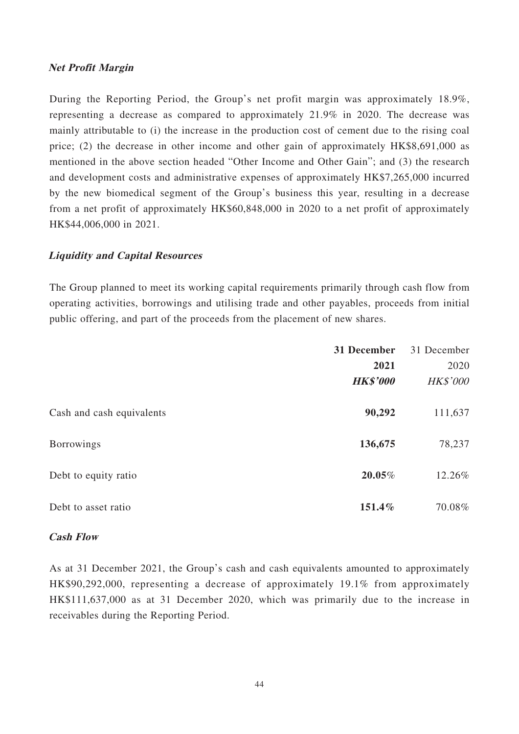### **Net Profit Margin**

During the Reporting Period, the Group's net profit margin was approximately 18.9%, representing a decrease as compared to approximately 21.9% in 2020. The decrease was mainly attributable to (i) the increase in the production cost of cement due to the rising coal price; (2) the decrease in other income and other gain of approximately HK\$8,691,000 as mentioned in the above section headed "Other Income and Other Gain"; and (3) the research and development costs and administrative expenses of approximately HK\$7,265,000 incurred by the new biomedical segment of the Group's business this year, resulting in a decrease from a net profit of approximately HK\$60,848,000 in 2020 to a net profit of approximately HK\$44,006,000 in 2021.

## **Liquidity and Capital Resources**

The Group planned to meet its working capital requirements primarily through cash flow from operating activities, borrowings and utilising trade and other payables, proceeds from initial public offering, and part of the proceeds from the placement of new shares.

|                           | 31 December     | 31 December     |
|---------------------------|-----------------|-----------------|
|                           | 2021            | 2020            |
|                           | <b>HK\$'000</b> | <b>HK\$'000</b> |
| Cash and cash equivalents | 90,292          | 111,637         |
| <b>Borrowings</b>         | 136,675         | 78,237          |
| Debt to equity ratio      | 20.05%          | 12.26%          |
| Debt to asset ratio       | 151.4%          | 70.08%          |

### **Cash Flow**

As at 31 December 2021, the Group's cash and cash equivalents amounted to approximately HK\$90,292,000, representing a decrease of approximately 19.1% from approximately HK\$111,637,000 as at 31 December 2020, which was primarily due to the increase in receivables during the Reporting Period.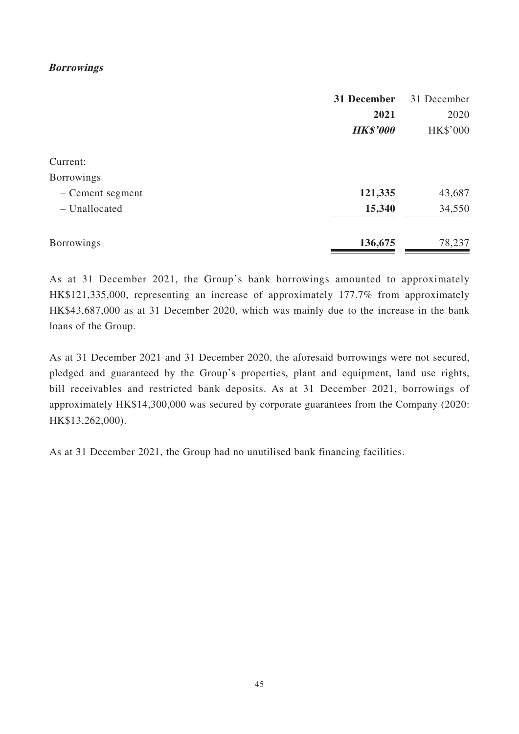## **Borrowings**

|                   | 31 December     | 31 December |
|-------------------|-----------------|-------------|
|                   | 2021            | 2020        |
|                   | <b>HK\$'000</b> | HK\$'000    |
| Current:          |                 |             |
| <b>Borrowings</b> |                 |             |
| - Cement segment  | 121,335         | 43,687      |
| - Unallocated     | 15,340          | 34,550      |
| <b>Borrowings</b> | 136,675         | 78,237      |

As at 31 December 2021, the Group's bank borrowings amounted to approximately HK\$121,335,000, representing an increase of approximately 177.7% from approximately HK\$43,687,000 as at 31 December 2020, which was mainly due to the increase in the bank loans of the Group.

As at 31 December 2021 and 31 December 2020, the aforesaid borrowings were not secured, pledged and guaranteed by the Group's properties, plant and equipment, land use rights, bill receivables and restricted bank deposits. As at 31 December 2021, borrowings of approximately HK\$14,300,000 was secured by corporate guarantees from the Company (2020: HK\$13,262,000).

As at 31 December 2021, the Group had no unutilised bank financing facilities.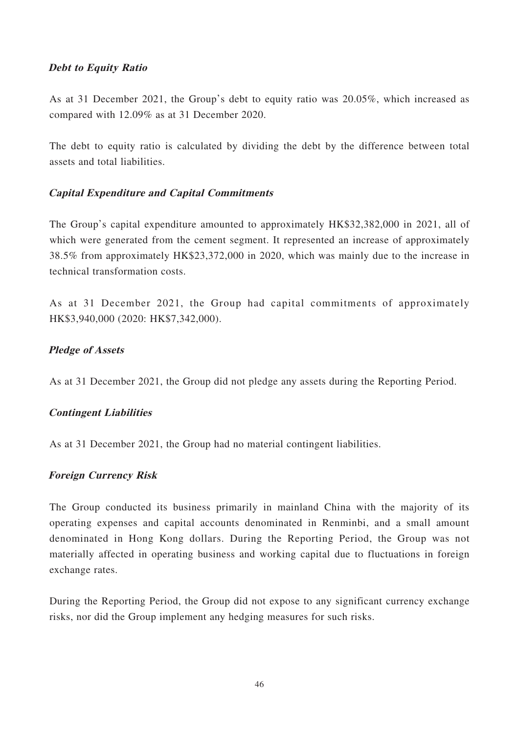## **Debt to Equity Ratio**

As at 31 December 2021, the Group's debt to equity ratio was 20.05%, which increased as compared with 12.09% as at 31 December 2020.

The debt to equity ratio is calculated by dividing the debt by the difference between total assets and total liabilities.

## **Capital Expenditure and Capital Commitments**

The Group's capital expenditure amounted to approximately HK\$32,382,000 in 2021, all of which were generated from the cement segment. It represented an increase of approximately 38.5% from approximately HK\$23,372,000 in 2020, which was mainly due to the increase in technical transformation costs.

As at 31 December 2021, the Group had capital commitments of approximately HK\$3,940,000 (2020: HK\$7,342,000).

## **Pledge of Assets**

As at 31 December 2021, the Group did not pledge any assets during the Reporting Period.

## **Contingent Liabilities**

As at 31 December 2021, the Group had no material contingent liabilities.

### **Foreign Currency Risk**

The Group conducted its business primarily in mainland China with the majority of its operating expenses and capital accounts denominated in Renminbi, and a small amount denominated in Hong Kong dollars. During the Reporting Period, the Group was not materially affected in operating business and working capital due to fluctuations in foreign exchange rates.

During the Reporting Period, the Group did not expose to any significant currency exchange risks, nor did the Group implement any hedging measures for such risks.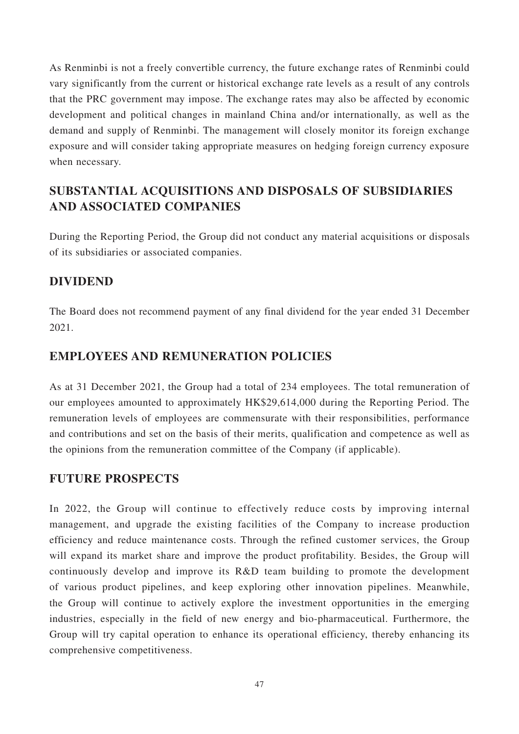As Renminbi is not a freely convertible currency, the future exchange rates of Renminbi could vary significantly from the current or historical exchange rate levels as a result of any controls that the PRC government may impose. The exchange rates may also be affected by economic development and political changes in mainland China and/or internationally, as well as the demand and supply of Renminbi. The management will closely monitor its foreign exchange exposure and will consider taking appropriate measures on hedging foreign currency exposure when necessary.

## **SUBSTANTIAL ACQUISITIONS AND DISPOSALS OF SUBSIDIARIES AND ASSOCIATED COMPANIES**

During the Reporting Period, the Group did not conduct any material acquisitions or disposals of its subsidiaries or associated companies.

## **DIVIDEND**

The Board does not recommend payment of any final dividend for the year ended 31 December 2021.

## **EMPLOYEES AND REMUNERATION POLICIES**

As at 31 December 2021, the Group had a total of 234 employees. The total remuneration of our employees amounted to approximately HK\$29,614,000 during the Reporting Period. The remuneration levels of employees are commensurate with their responsibilities, performance and contributions and set on the basis of their merits, qualification and competence as well as the opinions from the remuneration committee of the Company (if applicable).

## **FUTURE PROSPECTS**

In 2022, the Group will continue to effectively reduce costs by improving internal management, and upgrade the existing facilities of the Company to increase production efficiency and reduce maintenance costs. Through the refined customer services, the Group will expand its market share and improve the product profitability. Besides, the Group will continuously develop and improve its R&D team building to promote the development of various product pipelines, and keep exploring other innovation pipelines. Meanwhile, the Group will continue to actively explore the investment opportunities in the emerging industries, especially in the field of new energy and bio-pharmaceutical. Furthermore, the Group will try capital operation to enhance its operational efficiency, thereby enhancing its comprehensive competitiveness.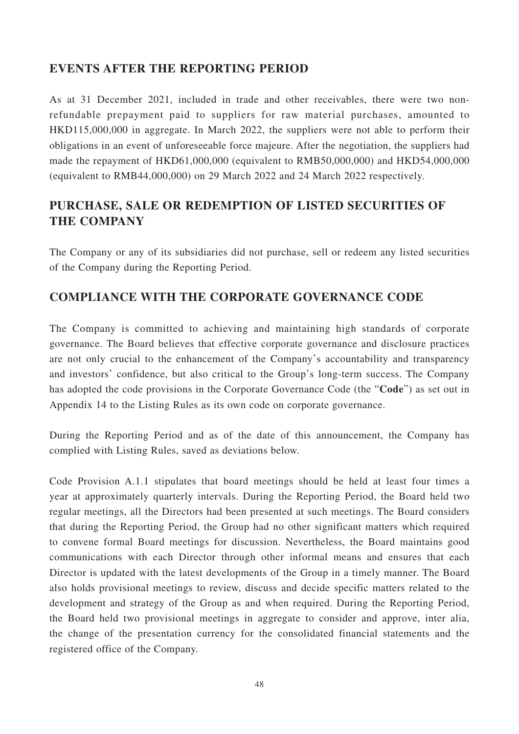## **EVENTS AFTER THE REPORTING PERIOD**

As at 31 December 2021, included in trade and other receivables, there were two nonrefundable prepayment paid to suppliers for raw material purchases, amounted to HKD115,000,000 in aggregate. In March 2022, the suppliers were not able to perform their obligations in an event of unforeseeable force majeure. After the negotiation, the suppliers had made the repayment of HKD61,000,000 (equivalent to RMB50,000,000) and HKD54,000,000 (equivalent to RMB44,000,000) on 29 March 2022 and 24 March 2022 respectively.

## **PURCHASE, SALE OR REDEMPTION OF LISTED SECURITIES OF THE COMPANY**

The Company or any of its subsidiaries did not purchase, sell or redeem any listed securities of the Company during the Reporting Period.

## **COMPLIANCE WITH THE CORPORATE GOVERNANCE CODE**

The Company is committed to achieving and maintaining high standards of corporate governance. The Board believes that effective corporate governance and disclosure practices are not only crucial to the enhancement of the Company's accountability and transparency and investors' confidence, but also critical to the Group's long-term success. The Company has adopted the code provisions in the Corporate Governance Code (the "**Code**") as set out in Appendix 14 to the Listing Rules as its own code on corporate governance.

During the Reporting Period and as of the date of this announcement, the Company has complied with Listing Rules, saved as deviations below.

Code Provision A.1.1 stipulates that board meetings should be held at least four times a year at approximately quarterly intervals. During the Reporting Period, the Board held two regular meetings, all the Directors had been presented at such meetings. The Board considers that during the Reporting Period, the Group had no other significant matters which required to convene formal Board meetings for discussion. Nevertheless, the Board maintains good communications with each Director through other informal means and ensures that each Director is updated with the latest developments of the Group in a timely manner. The Board also holds provisional meetings to review, discuss and decide specific matters related to the development and strategy of the Group as and when required. During the Reporting Period, the Board held two provisional meetings in aggregate to consider and approve, inter alia, the change of the presentation currency for the consolidated financial statements and the registered office of the Company.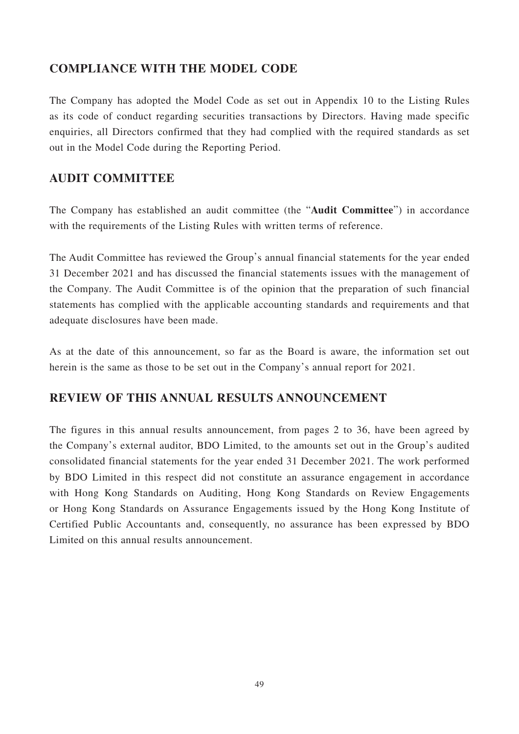## **COMPLIANCE WITH THE MODEL CODE**

The Company has adopted the Model Code as set out in Appendix 10 to the Listing Rules as its code of conduct regarding securities transactions by Directors. Having made specific enquiries, all Directors confirmed that they had complied with the required standards as set out in the Model Code during the Reporting Period.

## **AUDIT COMMITTEE**

The Company has established an audit committee (the "**Audit Committee**") in accordance with the requirements of the Listing Rules with written terms of reference.

The Audit Committee has reviewed the Group's annual financial statements for the year ended 31 December 2021 and has discussed the financial statements issues with the management of the Company. The Audit Committee is of the opinion that the preparation of such financial statements has complied with the applicable accounting standards and requirements and that adequate disclosures have been made.

As at the date of this announcement, so far as the Board is aware, the information set out herein is the same as those to be set out in the Company's annual report for 2021.

## **REVIEW OF THIS ANNUAL RESULTS ANNOUNCEMENT**

The figures in this annual results announcement, from pages 2 to 36, have been agreed by the Company's external auditor, BDO Limited, to the amounts set out in the Group's audited consolidated financial statements for the year ended 31 December 2021. The work performed by BDO Limited in this respect did not constitute an assurance engagement in accordance with Hong Kong Standards on Auditing, Hong Kong Standards on Review Engagements or Hong Kong Standards on Assurance Engagements issued by the Hong Kong Institute of Certified Public Accountants and, consequently, no assurance has been expressed by BDO Limited on this annual results announcement.